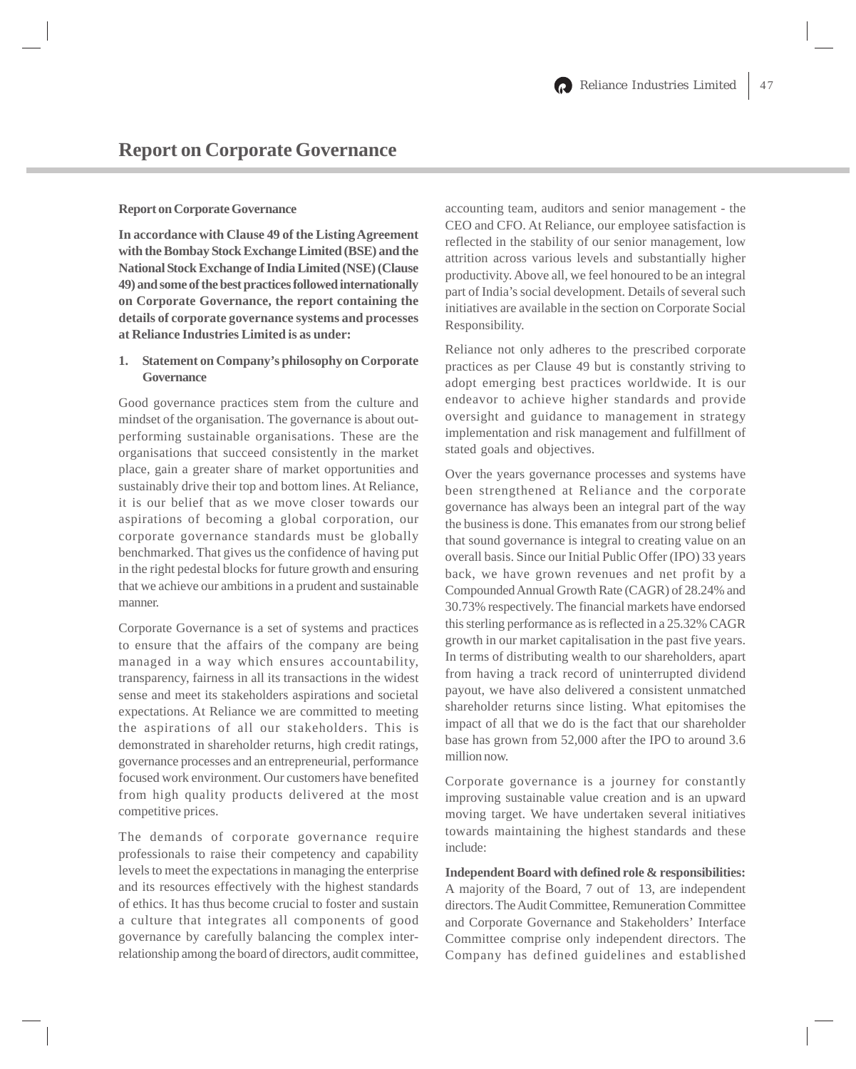#### **Report on Corporate Governance**

**In accordance with Clause 49 of the Listing Agreement with the Bombay Stock Exchange Limited (BSE) and the National Stock Exchange of India Limited (NSE) (Clause 49) and some of the best practices followed internationally on Corporate Governance, the report containing the details of corporate governance systems and processes at Reliance Industries Limited is as under:**

# **1. Statement on Company's philosophy on Corporate Governance**

Good governance practices stem from the culture and mindset of the organisation. The governance is about outperforming sustainable organisations. These are the organisations that succeed consistently in the market place, gain a greater share of market opportunities and sustainably drive their top and bottom lines. At Reliance, it is our belief that as we move closer towards our aspirations of becoming a global corporation, our corporate governance standards must be globally benchmarked. That gives us the confidence of having put in the right pedestal blocks for future growth and ensuring that we achieve our ambitions in a prudent and sustainable manner.

Corporate Governance is a set of systems and practices to ensure that the affairs of the company are being managed in a way which ensures accountability, transparency, fairness in all its transactions in the widest sense and meet its stakeholders aspirations and societal expectations. At Reliance we are committed to meeting the aspirations of all our stakeholders. This is demonstrated in shareholder returns, high credit ratings, governance processes and an entrepreneurial, performance focused work environment. Our customers have benefited from high quality products delivered at the most competitive prices.

The demands of corporate governance require professionals to raise their competency and capability levels to meet the expectations in managing the enterprise and its resources effectively with the highest standards of ethics. It has thus become crucial to foster and sustain a culture that integrates all components of good governance by carefully balancing the complex interrelationship among the board of directors, audit committee,

accounting team, auditors and senior management - the CEO and CFO. At Reliance, our employee satisfaction is reflected in the stability of our senior management, low attrition across various levels and substantially higher productivity. Above all, we feel honoured to be an integral part of India's social development. Details of several such initiatives are available in the section on Corporate Social Responsibility.

Reliance not only adheres to the prescribed corporate practices as per Clause 49 but is constantly striving to adopt emerging best practices worldwide. It is our endeavor to achieve higher standards and provide oversight and guidance to management in strategy implementation and risk management and fulfillment of stated goals and objectives.

Over the years governance processes and systems have been strengthened at Reliance and the corporate governance has always been an integral part of the way the business is done. This emanates from our strong belief that sound governance is integral to creating value on an overall basis. Since our Initial Public Offer (IPO) 33 years back, we have grown revenues and net profit by a Compounded Annual Growth Rate (CAGR) of 28.24% and 30.73% respectively. The financial markets have endorsed this sterling performance as is reflected in a 25.32% CAGR growth in our market capitalisation in the past five years. In terms of distributing wealth to our shareholders, apart from having a track record of uninterrupted dividend payout, we have also delivered a consistent unmatched shareholder returns since listing. What epitomises the impact of all that we do is the fact that our shareholder base has grown from 52,000 after the IPO to around 3.6 million now.

Corporate governance is a journey for constantly improving sustainable value creation and is an upward moving target. We have undertaken several initiatives towards maintaining the highest standards and these include:

**Independent Board with defined role & responsibilities:** A majority of the Board, 7 out of 13, are independent directors. The Audit Committee, Remuneration Committee and Corporate Governance and Stakeholders' Interface Committee comprise only independent directors. The Company has defined guidelines and established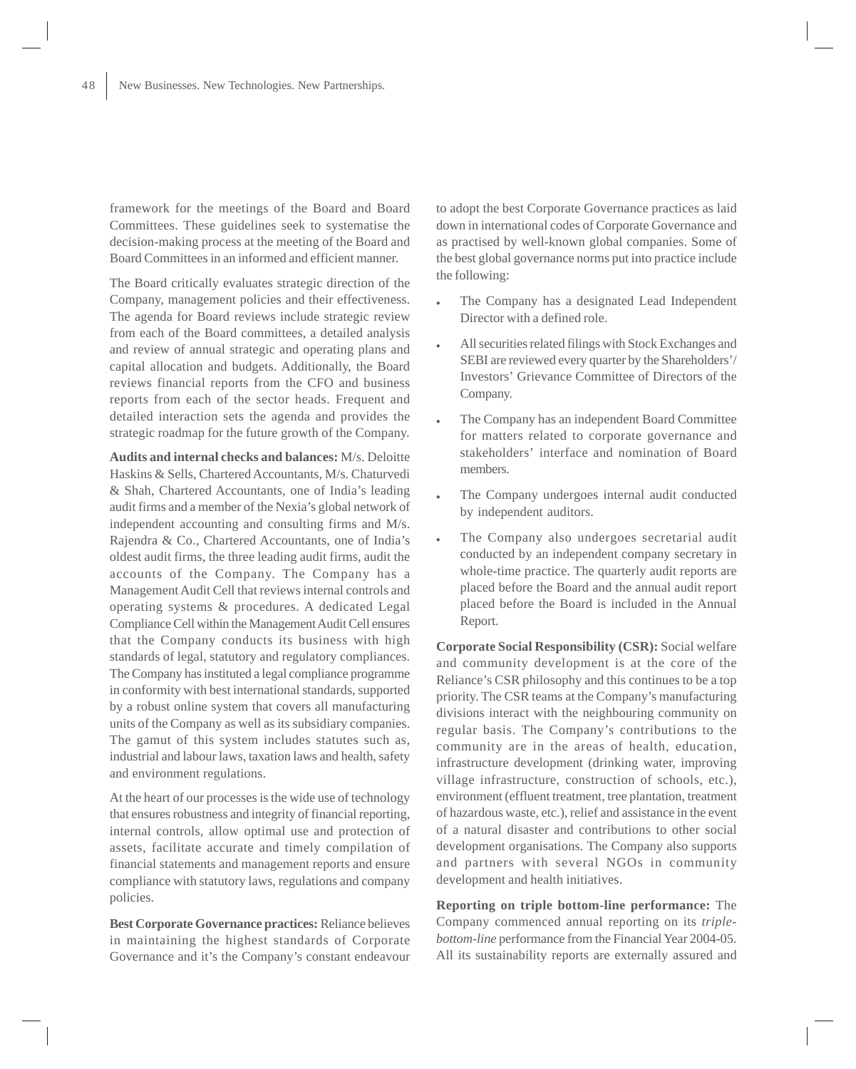framework for the meetings of the Board and Board Committees. These guidelines seek to systematise the decision-making process at the meeting of the Board and Board Committees in an informed and efficient manner.

The Board critically evaluates strategic direction of the Company, management policies and their effectiveness. The agenda for Board reviews include strategic review from each of the Board committees, a detailed analysis and review of annual strategic and operating plans and capital allocation and budgets. Additionally, the Board reviews financial reports from the CFO and business reports from each of the sector heads. Frequent and detailed interaction sets the agenda and provides the strategic roadmap for the future growth of the Company.

**Audits and internal checks and balances:** M/s. Deloitte Haskins & Sells, Chartered Accountants, M/s. Chaturvedi & Shah, Chartered Accountants, one of India's leading audit firms and a member of the Nexia's global network of independent accounting and consulting firms and M/s. Rajendra & Co., Chartered Accountants, one of India's oldest audit firms, the three leading audit firms, audit the accounts of the Company. The Company has a Management Audit Cell that reviews internal controls and operating systems & procedures. A dedicated Legal Compliance Cell within the Management Audit Cell ensures that the Company conducts its business with high standards of legal, statutory and regulatory compliances. The Company has instituted a legal compliance programme in conformity with best international standards, supported by a robust online system that covers all manufacturing units of the Company as well as its subsidiary companies. The gamut of this system includes statutes such as, industrial and labour laws, taxation laws and health, safety and environment regulations.

At the heart of our processes is the wide use of technology that ensures robustness and integrity of financial reporting, internal controls, allow optimal use and protection of assets, facilitate accurate and timely compilation of financial statements and management reports and ensure compliance with statutory laws, regulations and company policies.

**Best Corporate Governance practices:** Reliance believes in maintaining the highest standards of Corporate Governance and it's the Company's constant endeavour to adopt the best Corporate Governance practices as laid down in international codes of Corporate Governance and as practised by well-known global companies. Some of the best global governance norms put into practice include the following:

- The Company has a designated Lead Independent Director with a defined role.
- All securities related filings with Stock Exchanges and SEBI are reviewed every quarter by the Shareholders'/ Investors' Grievance Committee of Directors of the Company.
- The Company has an independent Board Committee for matters related to corporate governance and stakeholders' interface and nomination of Board members.
- The Company undergoes internal audit conducted by independent auditors.
- The Company also undergoes secretarial audit conducted by an independent company secretary in whole-time practice. The quarterly audit reports are placed before the Board and the annual audit report placed before the Board is included in the Annual Report.

**Corporate Social Responsibility (CSR):** Social welfare and community development is at the core of the Reliance's CSR philosophy and this continues to be a top priority. The CSR teams at the Company's manufacturing divisions interact with the neighbouring community on regular basis. The Company's contributions to the community are in the areas of health, education, infrastructure development (drinking water, improving village infrastructure, construction of schools, etc.), environment (effluent treatment, tree plantation, treatment of hazardous waste, etc.), relief and assistance in the event of a natural disaster and contributions to other social development organisations. The Company also supports and partners with several NGOs in community development and health initiatives.

**Reporting on triple bottom-line performance:** The Company commenced annual reporting on its *triplebottom-line* performance from the Financial Year 2004-05. All its sustainability reports are externally assured and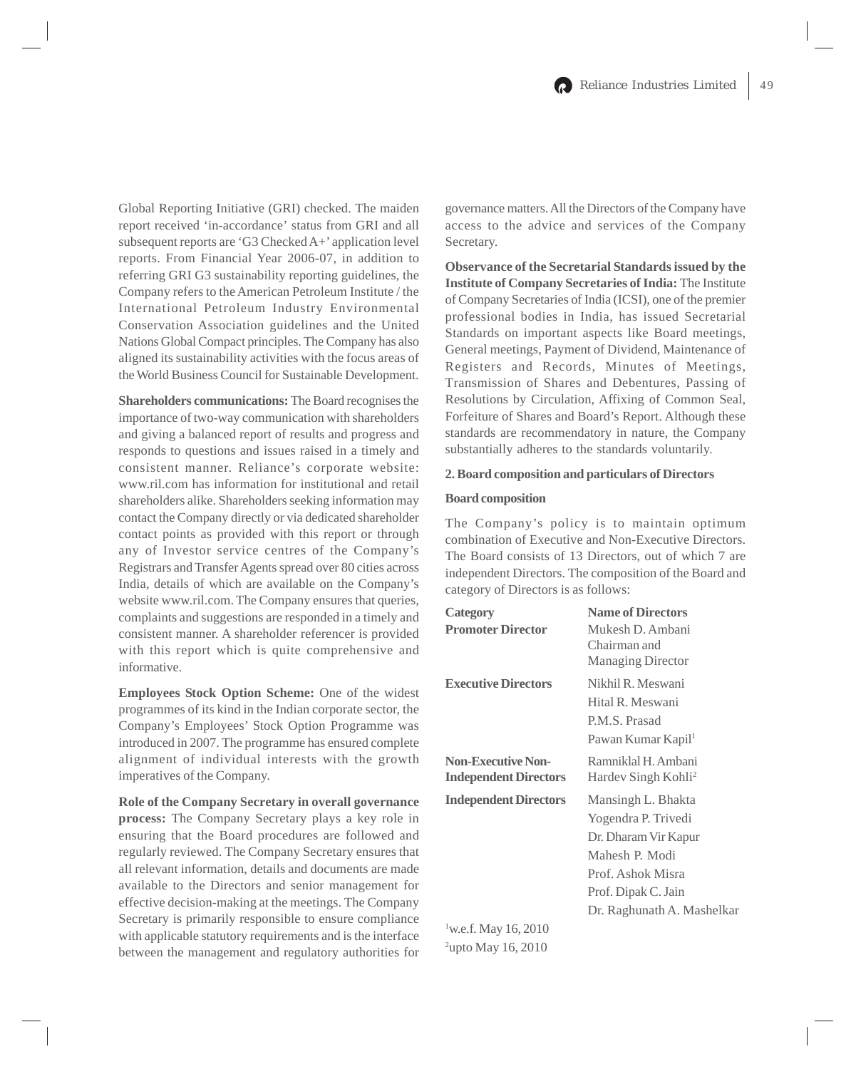Global Reporting Initiative (GRI) checked. The maiden report received 'in-accordance' status from GRI and all subsequent reports are 'G3 Checked A+' application level reports. From Financial Year 2006-07, in addition to referring GRI G3 sustainability reporting guidelines, the Company refers to the American Petroleum Institute / the International Petroleum Industry Environmental Conservation Association guidelines and the United Nations Global Compact principles. The Company has also aligned its sustainability activities with the focus areas of the World Business Council for Sustainable Development.

**Shareholders communications:** The Board recognises the importance of two-way communication with shareholders and giving a balanced report of results and progress and responds to questions and issues raised in a timely and consistent manner. Reliance's corporate website: www.ril.com has information for institutional and retail shareholders alike. Shareholders seeking information may contact the Company directly or via dedicated shareholder contact points as provided with this report or through any of Investor service centres of the Company's Registrars and Transfer Agents spread over 80 cities across India, details of which are available on the Company's website www.ril.com. The Company ensures that queries, complaints and suggestions are responded in a timely and consistent manner. A shareholder referencer is provided with this report which is quite comprehensive and informative.

**Employees Stock Option Scheme:** One of the widest programmes of its kind in the Indian corporate sector, the Company's Employees' Stock Option Programme was introduced in 2007. The programme has ensured complete alignment of individual interests with the growth imperatives of the Company.

**Role of the Company Secretary in overall governance process:** The Company Secretary plays a key role in ensuring that the Board procedures are followed and regularly reviewed. The Company Secretary ensures that all relevant information, details and documents are made available to the Directors and senior management for effective decision-making at the meetings. The Company Secretary is primarily responsible to ensure compliance with applicable statutory requirements and is the interface between the management and regulatory authorities for

governance matters. All the Directors of the Company have access to the advice and services of the Company Secretary.

**Observance of the Secretarial Standards issued by the Institute of Company Secretaries of India:** The Institute of Company Secretaries of India (ICSI), one of the premier professional bodies in India, has issued Secretarial Standards on important aspects like Board meetings, General meetings, Payment of Dividend, Maintenance of Registers and Records, Minutes of Meetings, Transmission of Shares and Debentures, Passing of Resolutions by Circulation, Affixing of Common Seal, Forfeiture of Shares and Board's Report. Although these standards are recommendatory in nature, the Company substantially adheres to the standards voluntarily.

### **2. Board composition and particulars of Directors**

#### **Board composition**

The Company's policy is to maintain optimum combination of Executive and Non-Executive Directors. The Board consists of 13 Directors, out of which 7 are independent Directors. The composition of the Board and category of Directors is as follows:

| <b>Category</b>                                           | <b>Name of Directors</b>                                                                                                                                      |
|-----------------------------------------------------------|---------------------------------------------------------------------------------------------------------------------------------------------------------------|
| <b>Promoter Director</b>                                  | Mukesh D. Ambani<br>Chairman and<br><b>Managing Director</b>                                                                                                  |
| <b>Executive Directors</b>                                | Nikhil R. Meswani<br>Hital R. Meswani<br>P.M.S. Prasad<br>Pawan Kumar Kapil <sup>1</sup>                                                                      |
| <b>Non-Executive Non-</b><br><b>Independent Directors</b> | Ramniklal H. Ambani<br>Hardev Singh Kohli <sup>2</sup>                                                                                                        |
| <b>Independent Directors</b>                              | Mansingh L. Bhakta<br>Yogendra P. Trivedi<br>Dr. Dharam Vir Kapur<br>Mahesh P. Modi<br>Prof. Ashok Misra<br>Prof. Dipak C. Jain<br>Dr. Raghunath A. Mashelkar |
| $1$ w.e.f. May 16, 2010                                   |                                                                                                                                                               |

<sup>2</sup>upto May 16, 2010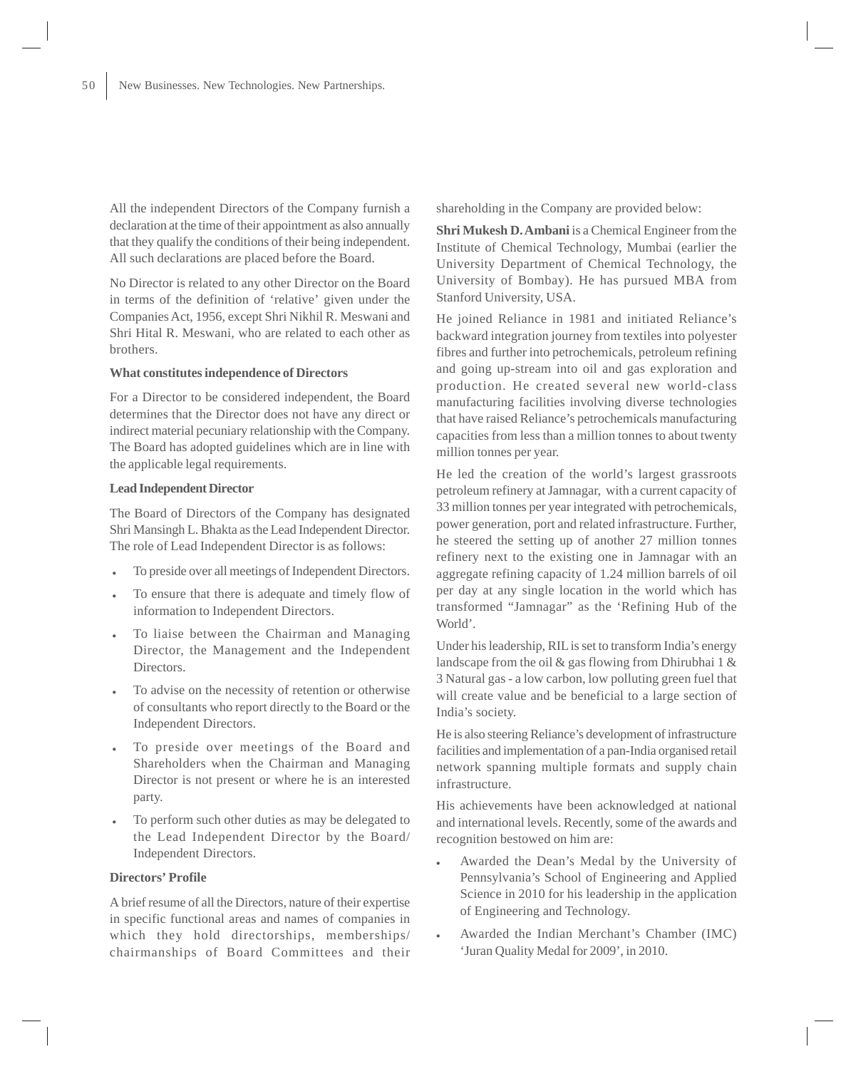All the independent Directors of the Company furnish a declaration at the time of their appointment as also annually that they qualify the conditions of their being independent. All such declarations are placed before the Board.

No Director is related to any other Director on the Board in terms of the definition of 'relative' given under the Companies Act, 1956, except Shri Nikhil R. Meswani and Shri Hital R. Meswani, who are related to each other as brothers.

#### **What constitutes independence of Directors**

For a Director to be considered independent, the Board determines that the Director does not have any direct or indirect material pecuniary relationship with the Company. The Board has adopted guidelines which are in line with the applicable legal requirements.

#### **Lead Independent Director**

The Board of Directors of the Company has designated Shri Mansingh L. Bhakta as the Lead Independent Director. The role of Lead Independent Director is as follows:

- To preside over all meetings of Independent Directors.
- To ensure that there is adequate and timely flow of information to Independent Directors.
- To liaise between the Chairman and Managing Director, the Management and the Independent Directors.
- To advise on the necessity of retention or otherwise of consultants who report directly to the Board or the Independent Directors.
- To preside over meetings of the Board and Shareholders when the Chairman and Managing Director is not present or where he is an interested party.
- To perform such other duties as may be delegated to the Lead Independent Director by the Board/ Independent Directors.

#### **Directors' Profile**

A brief resume of all the Directors, nature of their expertise in specific functional areas and names of companies in which they hold directorships, memberships/ chairmanships of Board Committees and their shareholding in the Company are provided below:

**Shri Mukesh D. Ambani** is a Chemical Engineer from the Institute of Chemical Technology, Mumbai (earlier the University Department of Chemical Technology, the University of Bombay). He has pursued MBA from Stanford University, USA.

He joined Reliance in 1981 and initiated Reliance's backward integration journey from textiles into polyester fibres and further into petrochemicals, petroleum refining and going up-stream into oil and gas exploration and production. He created several new world-class manufacturing facilities involving diverse technologies that have raised Reliance's petrochemicals manufacturing capacities from less than a million tonnes to about twenty million tonnes per year.

He led the creation of the world's largest grassroots petroleum refinery at Jamnagar, with a current capacity of 33 million tonnes per year integrated with petrochemicals, power generation, port and related infrastructure. Further, he steered the setting up of another 27 million tonnes refinery next to the existing one in Jamnagar with an aggregate refining capacity of 1.24 million barrels of oil per day at any single location in the world which has transformed "Jamnagar" as the 'Refining Hub of the World'.

Under his leadership, RIL is set to transform India's energy landscape from the oil & gas flowing from Dhirubhai 1 & 3 Natural gas - a low carbon, low polluting green fuel that will create value and be beneficial to a large section of India's society.

He is also steering Reliance's development of infrastructure facilities and implementation of a pan-India organised retail network spanning multiple formats and supply chain infrastructure.

His achievements have been acknowledged at national and international levels. Recently, some of the awards and recognition bestowed on him are:

- Awarded the Dean's Medal by the University of Pennsylvania's School of Engineering and Applied Science in 2010 for his leadership in the application of Engineering and Technology.
- Awarded the Indian Merchant's Chamber (IMC) 'Juran Quality Medal for 2009', in 2010.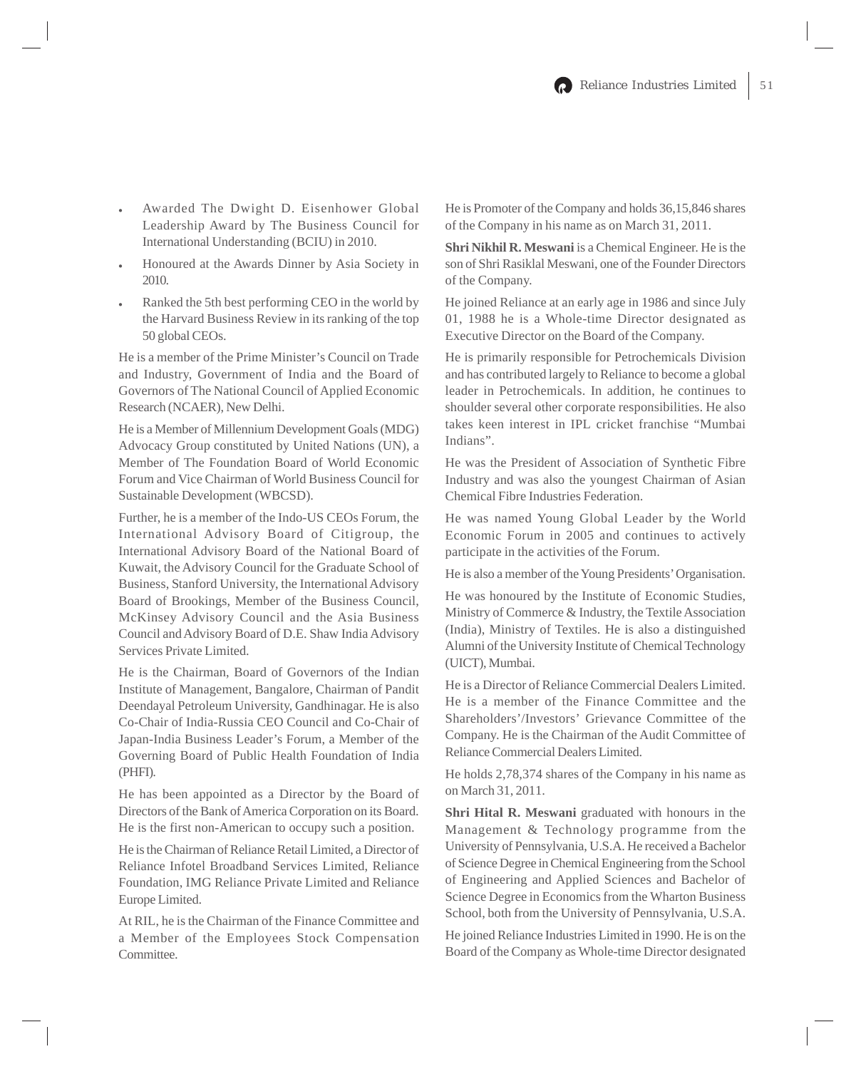- Awarded The Dwight D. Eisenhower Global Leadership Award by The Business Council for International Understanding (BCIU) in 2010.
- Honoured at the Awards Dinner by Asia Society in 2010.
- Ranked the 5th best performing CEO in the world by the Harvard Business Review in its ranking of the top 50 global CEOs.

He is a member of the Prime Minister's Council on Trade and Industry, Government of India and the Board of Governors of The National Council of Applied Economic Research (NCAER), New Delhi.

He is a Member of Millennium Development Goals (MDG) Advocacy Group constituted by United Nations (UN), a Member of The Foundation Board of World Economic Forum and Vice Chairman of World Business Council for Sustainable Development (WBCSD).

Further, he is a member of the Indo-US CEOs Forum, the International Advisory Board of Citigroup, the International Advisory Board of the National Board of Kuwait, the Advisory Council for the Graduate School of Business, Stanford University, the International Advisory Board of Brookings, Member of the Business Council, McKinsey Advisory Council and the Asia Business Council and Advisory Board of D.E. Shaw India Advisory Services Private Limited.

He is the Chairman, Board of Governors of the Indian Institute of Management, Bangalore, Chairman of Pandit Deendayal Petroleum University, Gandhinagar. He is also Co-Chair of India-Russia CEO Council and Co-Chair of Japan-India Business Leader's Forum, a Member of the Governing Board of Public Health Foundation of India (PHFI).

He has been appointed as a Director by the Board of Directors of the Bank of America Corporation on its Board. He is the first non-American to occupy such a position.

He is the Chairman of Reliance Retail Limited, a Director of Reliance Infotel Broadband Services Limited, Reliance Foundation, IMG Reliance Private Limited and Reliance Europe Limited.

At RIL, he is the Chairman of the Finance Committee and a Member of the Employees Stock Compensation Committee.

He is Promoter of the Company and holds 36,15,846 shares of the Company in his name as on March 31, 2011.

**Shri Nikhil R. Meswani** is a Chemical Engineer. He is the son of Shri Rasiklal Meswani, one of the Founder Directors of the Company.

He joined Reliance at an early age in 1986 and since July 01, 1988 he is a Whole-time Director designated as Executive Director on the Board of the Company.

He is primarily responsible for Petrochemicals Division and has contributed largely to Reliance to become a global leader in Petrochemicals. In addition, he continues to shoulder several other corporate responsibilities. He also takes keen interest in IPL cricket franchise "Mumbai Indians".

He was the President of Association of Synthetic Fibre Industry and was also the youngest Chairman of Asian Chemical Fibre Industries Federation.

He was named Young Global Leader by the World Economic Forum in 2005 and continues to actively participate in the activities of the Forum.

He is also a member of the Young Presidents' Organisation.

He was honoured by the Institute of Economic Studies, Ministry of Commerce & Industry, the Textile Association (India), Ministry of Textiles. He is also a distinguished Alumni of the University Institute of Chemical Technology (UICT), Mumbai.

He is a Director of Reliance Commercial Dealers Limited. He is a member of the Finance Committee and the Shareholders'/Investors' Grievance Committee of the Company. He is the Chairman of the Audit Committee of Reliance Commercial Dealers Limited.

He holds 2,78,374 shares of the Company in his name as on March 31, 2011.

**Shri Hital R. Meswani** graduated with honours in the Management & Technology programme from the University of Pennsylvania, U.S.A. He received a Bachelor of Science Degree in Chemical Engineering from the School of Engineering and Applied Sciences and Bachelor of Science Degree in Economics from the Wharton Business School, both from the University of Pennsylvania, U.S.A.

He joined Reliance Industries Limited in 1990. He is on the Board of the Company as Whole-time Director designated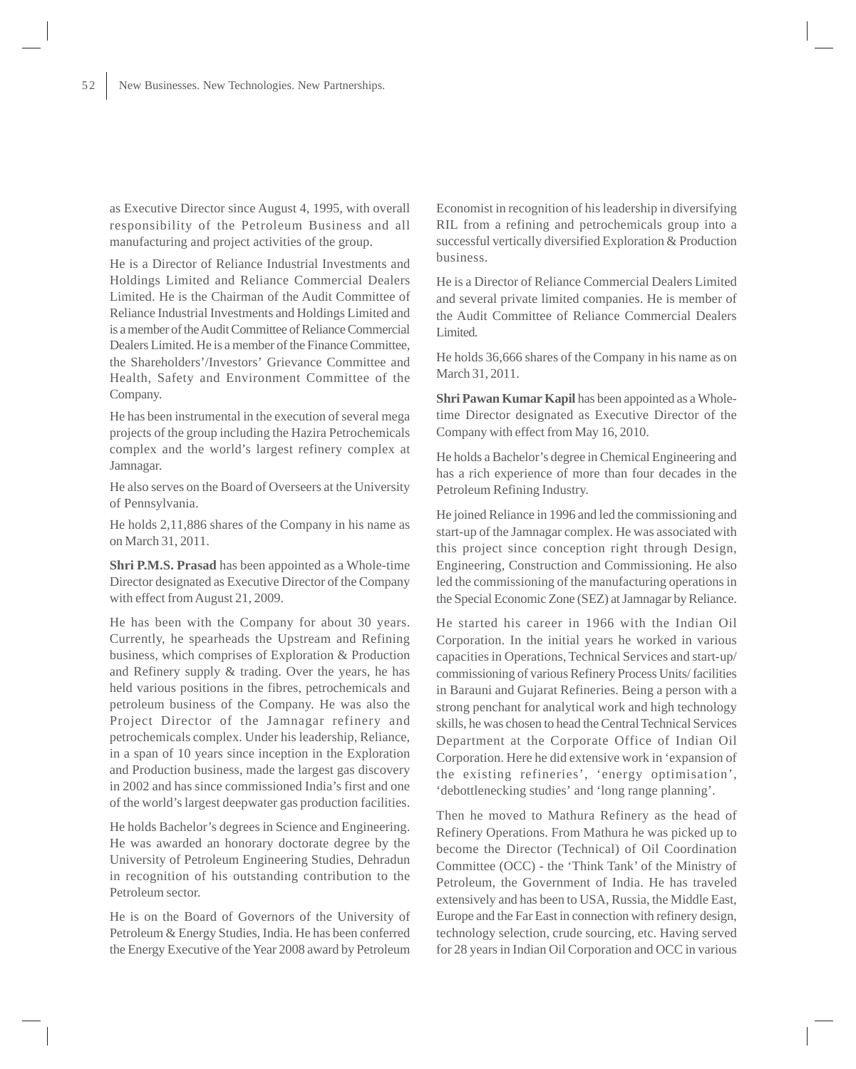as Executive Director since August 4, 1995, with overall responsibility of the Petroleum Business and all manufacturing and project activities of the group.

He is a Director of Reliance Industrial Investments and Holdings Limited and Reliance Commercial Dealers Limited. He is the Chairman of the Audit Committee of Reliance Industrial Investments and Holdings Limited and is a member of the Audit Committee of Reliance Commercial Dealers Limited. He is a member of the Finance Committee, the Shareholders'/Investors' Grievance Committee and Health, Safety and Environment Committee of the Company.

He has been instrumental in the execution of several mega projects of the group including the Hazira Petrochemicals complex and the world's largest refinery complex at Jamnagar.

He also serves on the Board of Overseers at the University of Pennsylvania.

He holds 2,11,886 shares of the Company in his name as on March 31, 2011.

**Shri P.M.S. Prasad** has been appointed as a Whole-time Director designated as Executive Director of the Company with effect from August 21, 2009.

He has been with the Company for about 30 years. Currently, he spearheads the Upstream and Refining business, which comprises of Exploration & Production and Refinery supply & trading. Over the years, he has held various positions in the fibres, petrochemicals and petroleum business of the Company. He was also the Project Director of the Jamnagar refinery and petrochemicals complex. Under his leadership, Reliance, in a span of 10 years since inception in the Exploration and Production business, made the largest gas discovery in 2002 and has since commissioned India's first and one of the world's largest deepwater gas production facilities.

He holds Bachelor's degrees in Science and Engineering. He was awarded an honorary doctorate degree by the University of Petroleum Engineering Studies, Dehradun in recognition of his outstanding contribution to the Petroleum sector.

He is on the Board of Governors of the University of Petroleum & Energy Studies, India. He has been conferred the Energy Executive of the Year 2008 award by Petroleum Economist in recognition of his leadership in diversifying RIL from a refining and petrochemicals group into a successful vertically diversified Exploration & Production business.

He is a Director of Reliance Commercial Dealers Limited and several private limited companies. He is member of the Audit Committee of Reliance Commercial Dealers Limited.

He holds 36,666 shares of the Company in his name as on March 31, 2011.

**Shri Pawan Kumar Kapil** has been appointed as a Wholetime Director designated as Executive Director of the Company with effect from May 16, 2010.

He holds a Bachelor's degree in Chemical Engineering and has a rich experience of more than four decades in the Petroleum Refining Industry.

He joined Reliance in 1996 and led the commissioning and start-up of the Jamnagar complex. He was associated with this project since conception right through Design, Engineering, Construction and Commissioning. He also led the commissioning of the manufacturing operations in the Special Economic Zone (SEZ) at Jamnagar by Reliance.

He started his career in 1966 with the Indian Oil Corporation. In the initial years he worked in various capacities in Operations, Technical Services and start-up/ commissioning of various Refinery Process Units/ facilities in Barauni and Gujarat Refineries. Being a person with a strong penchant for analytical work and high technology skills, he was chosen to head the Central Technical Services Department at the Corporate Office of Indian Oil Corporation. Here he did extensive work in 'expansion of the existing refineries', 'energy optimisation', 'debottlenecking studies' and 'long range planning'.

Then he moved to Mathura Refinery as the head of Refinery Operations. From Mathura he was picked up to become the Director (Technical) of Oil Coordination Committee (OCC) - the 'Think Tank' of the Ministry of Petroleum, the Government of India. He has traveled extensively and has been to USA, Russia, the Middle East, Europe and the Far East in connection with refinery design, technology selection, crude sourcing, etc. Having served for 28 years in Indian Oil Corporation and OCC in various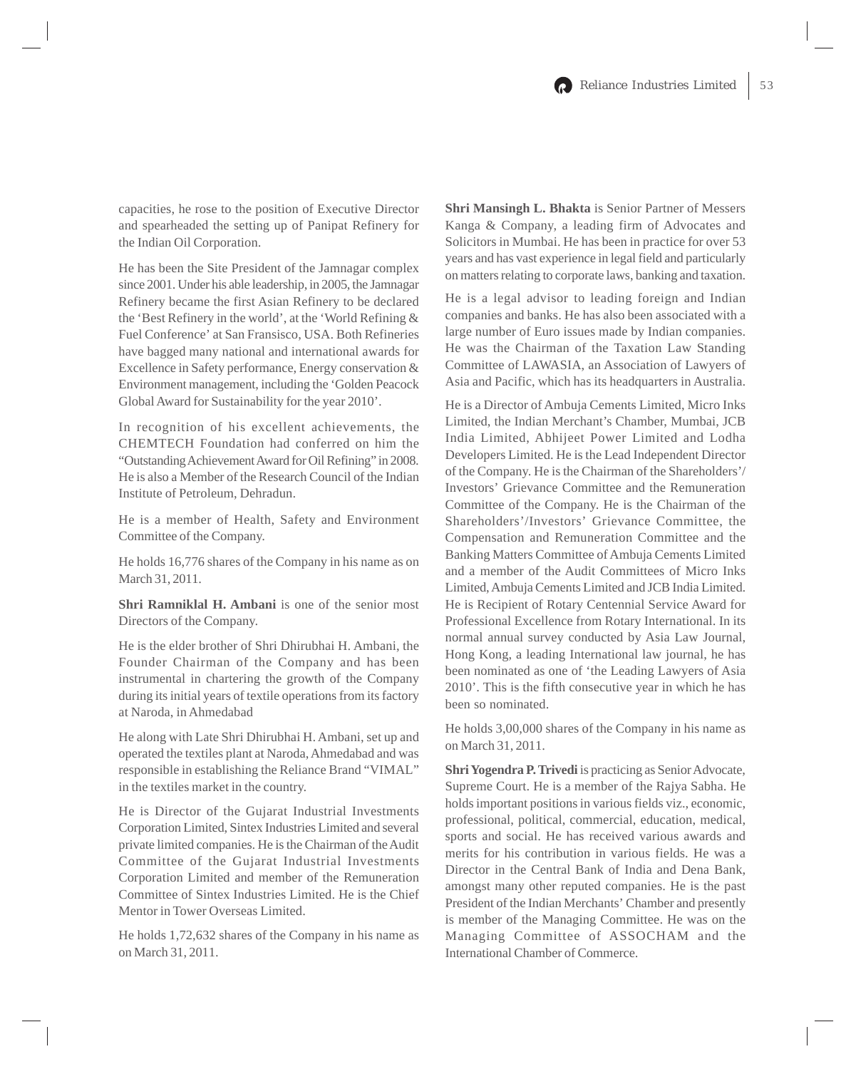capacities, he rose to the position of Executive Director and spearheaded the setting up of Panipat Refinery for the Indian Oil Corporation.

He has been the Site President of the Jamnagar complex since 2001. Under his able leadership, in 2005, the Jamnagar Refinery became the first Asian Refinery to be declared the 'Best Refinery in the world', at the 'World Refining & Fuel Conference' at San Fransisco, USA. Both Refineries have bagged many national and international awards for Excellence in Safety performance, Energy conservation & Environment management, including the 'Golden Peacock Global Award for Sustainability for the year 2010'.

In recognition of his excellent achievements, the CHEMTECH Foundation had conferred on him the "Outstanding Achievement Award for Oil Refining" in 2008. He is also a Member of the Research Council of the Indian Institute of Petroleum, Dehradun.

He is a member of Health, Safety and Environment Committee of the Company.

He holds 16,776 shares of the Company in his name as on March 31, 2011.

**Shri Ramniklal H. Ambani** is one of the senior most Directors of the Company.

He is the elder brother of Shri Dhirubhai H. Ambani, the Founder Chairman of the Company and has been instrumental in chartering the growth of the Company during its initial years of textile operations from its factory at Naroda, in Ahmedabad

He along with Late Shri Dhirubhai H. Ambani, set up and operated the textiles plant at Naroda, Ahmedabad and was responsible in establishing the Reliance Brand "VIMAL" in the textiles market in the country.

He is Director of the Gujarat Industrial Investments Corporation Limited, Sintex Industries Limited and several private limited companies. He is the Chairman of the Audit Committee of the Gujarat Industrial Investments Corporation Limited and member of the Remuneration Committee of Sintex Industries Limited. He is the Chief Mentor in Tower Overseas Limited.

He holds 1,72,632 shares of the Company in his name as on March 31, 2011.

**Shri Mansingh L. Bhakta** is Senior Partner of Messers Kanga & Company, a leading firm of Advocates and Solicitors in Mumbai. He has been in practice for over 53 years and has vast experience in legal field and particularly on matters relating to corporate laws, banking and taxation.

He is a legal advisor to leading foreign and Indian companies and banks. He has also been associated with a large number of Euro issues made by Indian companies. He was the Chairman of the Taxation Law Standing Committee of LAWASIA, an Association of Lawyers of Asia and Pacific, which has its headquarters in Australia.

He is a Director of Ambuja Cements Limited, Micro Inks Limited, the Indian Merchant's Chamber, Mumbai, JCB India Limited, Abhijeet Power Limited and Lodha Developers Limited. He is the Lead Independent Director of the Company. He is the Chairman of the Shareholders'/ Investors' Grievance Committee and the Remuneration Committee of the Company. He is the Chairman of the Shareholders'/Investors' Grievance Committee, the Compensation and Remuneration Committee and the Banking Matters Committee of Ambuja Cements Limited and a member of the Audit Committees of Micro Inks Limited, Ambuja Cements Limited and JCB India Limited. He is Recipient of Rotary Centennial Service Award for Professional Excellence from Rotary International. In its normal annual survey conducted by Asia Law Journal, Hong Kong, a leading International law journal, he has been nominated as one of 'the Leading Lawyers of Asia 2010'. This is the fifth consecutive year in which he has been so nominated.

He holds 3,00,000 shares of the Company in his name as on March 31, 2011.

**Shri Yogendra P. Trivedi** is practicing as Senior Advocate, Supreme Court. He is a member of the Rajya Sabha. He holds important positions in various fields viz., economic, professional, political, commercial, education, medical, sports and social. He has received various awards and merits for his contribution in various fields. He was a Director in the Central Bank of India and Dena Bank, amongst many other reputed companies. He is the past President of the Indian Merchants' Chamber and presently is member of the Managing Committee. He was on the Managing Committee of ASSOCHAM and the International Chamber of Commerce.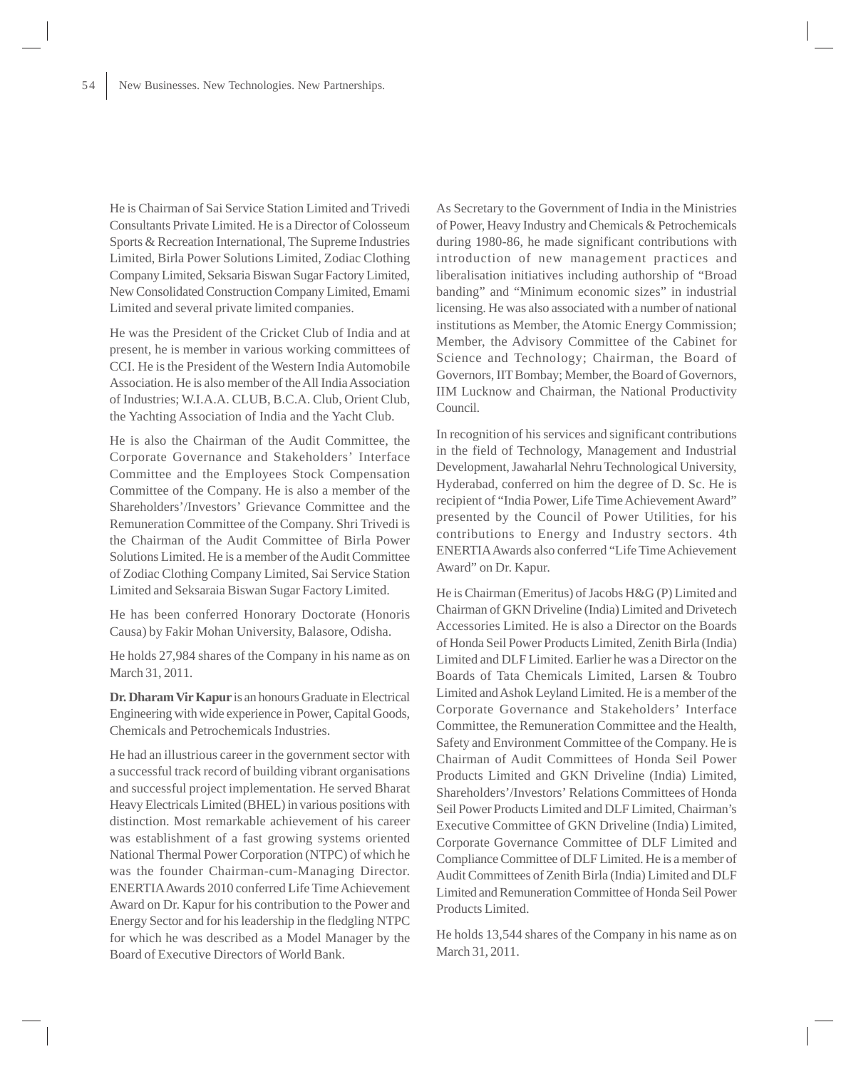He is Chairman of Sai Service Station Limited and Trivedi Consultants Private Limited. He is a Director of Colosseum Sports & Recreation International, The Supreme Industries Limited, Birla Power Solutions Limited, Zodiac Clothing Company Limited, Seksaria Biswan Sugar Factory Limited, New Consolidated Construction Company Limited, Emami Limited and several private limited companies.

He was the President of the Cricket Club of India and at present, he is member in various working committees of CCI. He is the President of the Western India Automobile Association. He is also member of the All India Association of Industries; W.I.A.A. CLUB, B.C.A. Club, Orient Club, the Yachting Association of India and the Yacht Club.

He is also the Chairman of the Audit Committee, the Corporate Governance and Stakeholders' Interface Committee and the Employees Stock Compensation Committee of the Company. He is also a member of the Shareholders'/Investors' Grievance Committee and the Remuneration Committee of the Company. Shri Trivedi is the Chairman of the Audit Committee of Birla Power Solutions Limited. He is a member of the Audit Committee of Zodiac Clothing Company Limited, Sai Service Station Limited and Seksaraia Biswan Sugar Factory Limited.

He has been conferred Honorary Doctorate (Honoris Causa) by Fakir Mohan University, Balasore, Odisha.

He holds 27,984 shares of the Company in his name as on March 31, 2011.

**Dr. Dharam Vir Kapur** is an honours Graduate in Electrical Engineering with wide experience in Power, Capital Goods, Chemicals and Petrochemicals Industries.

He had an illustrious career in the government sector with a successful track record of building vibrant organisations and successful project implementation. He served Bharat Heavy Electricals Limited (BHEL) in various positions with distinction. Most remarkable achievement of his career was establishment of a fast growing systems oriented National Thermal Power Corporation (NTPC) of which he was the founder Chairman-cum-Managing Director. ENERTIA Awards 2010 conferred Life Time Achievement Award on Dr. Kapur for his contribution to the Power and Energy Sector and for his leadership in the fledgling NTPC for which he was described as a Model Manager by the Board of Executive Directors of World Bank.

As Secretary to the Government of India in the Ministries of Power, Heavy Industry and Chemicals & Petrochemicals during 1980-86, he made significant contributions with introduction of new management practices and liberalisation initiatives including authorship of "Broad banding" and "Minimum economic sizes" in industrial licensing. He was also associated with a number of national institutions as Member, the Atomic Energy Commission; Member, the Advisory Committee of the Cabinet for Science and Technology; Chairman, the Board of Governors, IIT Bombay; Member, the Board of Governors, IIM Lucknow and Chairman, the National Productivity Council.

In recognition of his services and significant contributions in the field of Technology, Management and Industrial Development, Jawaharlal Nehru Technological University, Hyderabad, conferred on him the degree of D. Sc. He is recipient of "India Power, Life Time Achievement Award" presented by the Council of Power Utilities, for his contributions to Energy and Industry sectors. 4th ENERTIA Awards also conferred "Life Time Achievement Award" on Dr. Kapur.

He is Chairman (Emeritus) of Jacobs H&G (P) Limited and Chairman of GKN Driveline (India) Limited and Drivetech Accessories Limited. He is also a Director on the Boards of Honda Seil Power Products Limited, Zenith Birla (India) Limited and DLF Limited. Earlier he was a Director on the Boards of Tata Chemicals Limited, Larsen & Toubro Limited and Ashok Leyland Limited. He is a member of the Corporate Governance and Stakeholders' Interface Committee, the Remuneration Committee and the Health, Safety and Environment Committee of the Company. He is Chairman of Audit Committees of Honda Seil Power Products Limited and GKN Driveline (India) Limited, Shareholders'/Investors' Relations Committees of Honda Seil Power Products Limited and DLF Limited, Chairman's Executive Committee of GKN Driveline (India) Limited, Corporate Governance Committee of DLF Limited and Compliance Committee of DLF Limited. He is a member of Audit Committees of Zenith Birla (India) Limited and DLF Limited and Remuneration Committee of Honda Seil Power Products Limited.

He holds 13,544 shares of the Company in his name as on March 31, 2011.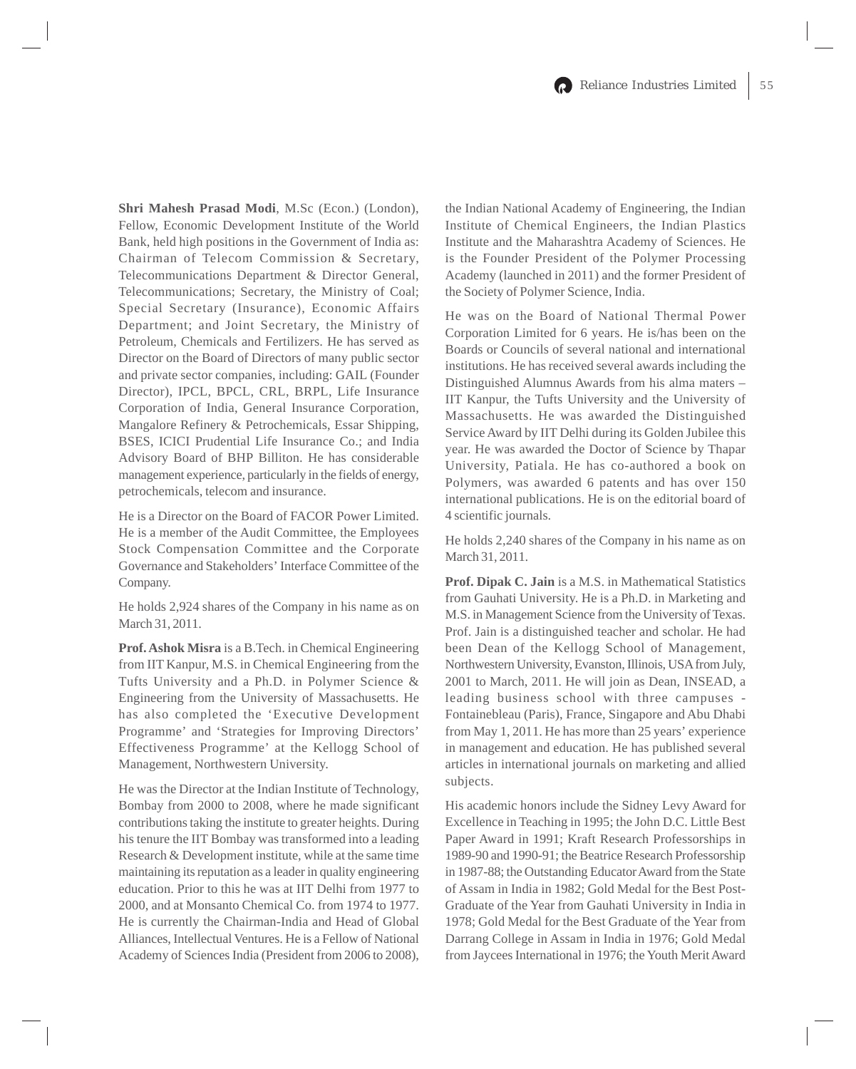**Shri Mahesh Prasad Modi**, M.Sc (Econ.) (London), Fellow, Economic Development Institute of the World Bank, held high positions in the Government of India as: Chairman of Telecom Commission & Secretary, Telecommunications Department & Director General, Telecommunications; Secretary, the Ministry of Coal; Special Secretary (Insurance), Economic Affairs Department; and Joint Secretary, the Ministry of Petroleum, Chemicals and Fertilizers. He has served as Director on the Board of Directors of many public sector and private sector companies, including: GAIL (Founder Director), IPCL, BPCL, CRL, BRPL, Life Insurance Corporation of India, General Insurance Corporation, Mangalore Refinery & Petrochemicals, Essar Shipping, BSES, ICICI Prudential Life Insurance Co.; and India Advisory Board of BHP Billiton. He has considerable management experience, particularly in the fields of energy, petrochemicals, telecom and insurance.

He is a Director on the Board of FACOR Power Limited. He is a member of the Audit Committee, the Employees Stock Compensation Committee and the Corporate Governance and Stakeholders' Interface Committee of the Company.

He holds 2,924 shares of the Company in his name as on March 31, 2011.

**Prof. Ashok Misra** is a B.Tech. in Chemical Engineering from IIT Kanpur, M.S. in Chemical Engineering from the Tufts University and a Ph.D. in Polymer Science & Engineering from the University of Massachusetts. He has also completed the 'Executive Development Programme' and 'Strategies for Improving Directors' Effectiveness Programme' at the Kellogg School of Management, Northwestern University.

He was the Director at the Indian Institute of Technology, Bombay from 2000 to 2008, where he made significant contributions taking the institute to greater heights. During his tenure the IIT Bombay was transformed into a leading Research & Development institute, while at the same time maintaining its reputation as a leader in quality engineering education. Prior to this he was at IIT Delhi from 1977 to 2000, and at Monsanto Chemical Co. from 1974 to 1977. He is currently the Chairman-India and Head of Global Alliances, Intellectual Ventures. He is a Fellow of National Academy of Sciences India (President from 2006 to 2008),

the Indian National Academy of Engineering, the Indian Institute of Chemical Engineers, the Indian Plastics Institute and the Maharashtra Academy of Sciences. He is the Founder President of the Polymer Processing Academy (launched in 2011) and the former President of the Society of Polymer Science, India.

He was on the Board of National Thermal Power Corporation Limited for 6 years. He is/has been on the Boards or Councils of several national and international institutions. He has received several awards including the Distinguished Alumnus Awards from his alma maters – IIT Kanpur, the Tufts University and the University of Massachusetts. He was awarded the Distinguished Service Award by IIT Delhi during its Golden Jubilee this year. He was awarded the Doctor of Science by Thapar University, Patiala. He has co-authored a book on Polymers, was awarded 6 patents and has over 150 international publications. He is on the editorial board of 4 scientific journals.

He holds 2,240 shares of the Company in his name as on March 31, 2011.

**Prof. Dipak C. Jain** is a M.S. in Mathematical Statistics from Gauhati University. He is a Ph.D. in Marketing and M.S. in Management Science from the University of Texas. Prof. Jain is a distinguished teacher and scholar. He had been Dean of the Kellogg School of Management, Northwestern University, Evanston, Illinois, USA from July, 2001 to March, 2011. He will join as Dean, INSEAD, a leading business school with three campuses - Fontainebleau (Paris), France, Singapore and Abu Dhabi from May 1, 2011. He has more than 25 years' experience in management and education. He has published several articles in international journals on marketing and allied subjects.

His academic honors include the Sidney Levy Award for Excellence in Teaching in 1995; the John D.C. Little Best Paper Award in 1991; Kraft Research Professorships in 1989-90 and 1990-91; the Beatrice Research Professorship in 1987-88; the Outstanding Educator Award from the State of Assam in India in 1982; Gold Medal for the Best Post-Graduate of the Year from Gauhati University in India in 1978; Gold Medal for the Best Graduate of the Year from Darrang College in Assam in India in 1976; Gold Medal from Jaycees International in 1976; the Youth Merit Award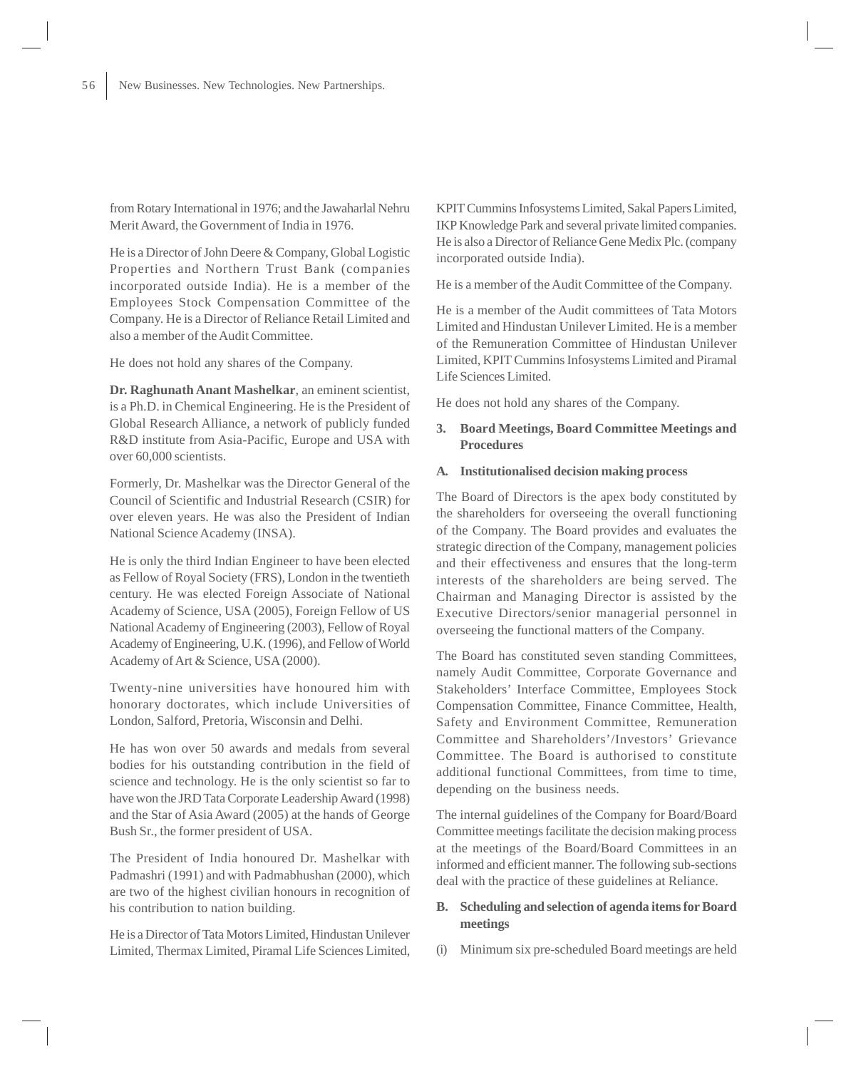from Rotary International in 1976; and the Jawaharlal Nehru Merit Award, the Government of India in 1976.

He is a Director of John Deere & Company, Global Logistic Properties and Northern Trust Bank (companies incorporated outside India). He is a member of the Employees Stock Compensation Committee of the Company. He is a Director of Reliance Retail Limited and also a member of the Audit Committee.

He does not hold any shares of the Company.

**Dr. Raghunath Anant Mashelkar**, an eminent scientist, is a Ph.D. in Chemical Engineering. He is the President of Global Research Alliance, a network of publicly funded R&D institute from Asia-Pacific, Europe and USA with over 60,000 scientists.

Formerly, Dr. Mashelkar was the Director General of the Council of Scientific and Industrial Research (CSIR) for over eleven years. He was also the President of Indian National Science Academy (INSA).

He is only the third Indian Engineer to have been elected as Fellow of Royal Society (FRS), London in the twentieth century. He was elected Foreign Associate of National Academy of Science, USA (2005), Foreign Fellow of US National Academy of Engineering (2003), Fellow of Royal Academy of Engineering, U.K. (1996), and Fellow of World Academy of Art & Science, USA (2000).

Twenty-nine universities have honoured him with honorary doctorates, which include Universities of London, Salford, Pretoria, Wisconsin and Delhi.

He has won over 50 awards and medals from several bodies for his outstanding contribution in the field of science and technology. He is the only scientist so far to have won the JRD Tata Corporate Leadership Award (1998) and the Star of Asia Award (2005) at the hands of George Bush Sr., the former president of USA.

The President of India honoured Dr. Mashelkar with Padmashri (1991) and with Padmabhushan (2000), which are two of the highest civilian honours in recognition of his contribution to nation building.

He is a Director of Tata Motors Limited, Hindustan Unilever Limited, Thermax Limited, Piramal Life Sciences Limited, KPIT Cummins Infosystems Limited, Sakal Papers Limited, IKP Knowledge Park and several private limited companies. He is also a Director of Reliance Gene Medix Plc. (company incorporated outside India).

He is a member of the Audit Committee of the Company.

He is a member of the Audit committees of Tata Motors Limited and Hindustan Unilever Limited. He is a member of the Remuneration Committee of Hindustan Unilever Limited, KPIT Cummins Infosystems Limited and Piramal Life Sciences Limited.

He does not hold any shares of the Company.

# **3. Board Meetings, Board Committee Meetings and Procedures**

# **A. Institutionalised decision making process**

The Board of Directors is the apex body constituted by the shareholders for overseeing the overall functioning of the Company. The Board provides and evaluates the strategic direction of the Company, management policies and their effectiveness and ensures that the long-term interests of the shareholders are being served. The Chairman and Managing Director is assisted by the Executive Directors/senior managerial personnel in overseeing the functional matters of the Company.

The Board has constituted seven standing Committees, namely Audit Committee, Corporate Governance and Stakeholders' Interface Committee, Employees Stock Compensation Committee, Finance Committee, Health, Safety and Environment Committee, Remuneration Committee and Shareholders'/Investors' Grievance Committee. The Board is authorised to constitute additional functional Committees, from time to time, depending on the business needs.

The internal guidelines of the Company for Board/Board Committee meetings facilitate the decision making process at the meetings of the Board/Board Committees in an informed and efficient manner. The following sub-sections deal with the practice of these guidelines at Reliance.

# **B. Scheduling and selection of agenda items for Board meetings**

(i) Minimum six pre-scheduled Board meetings are held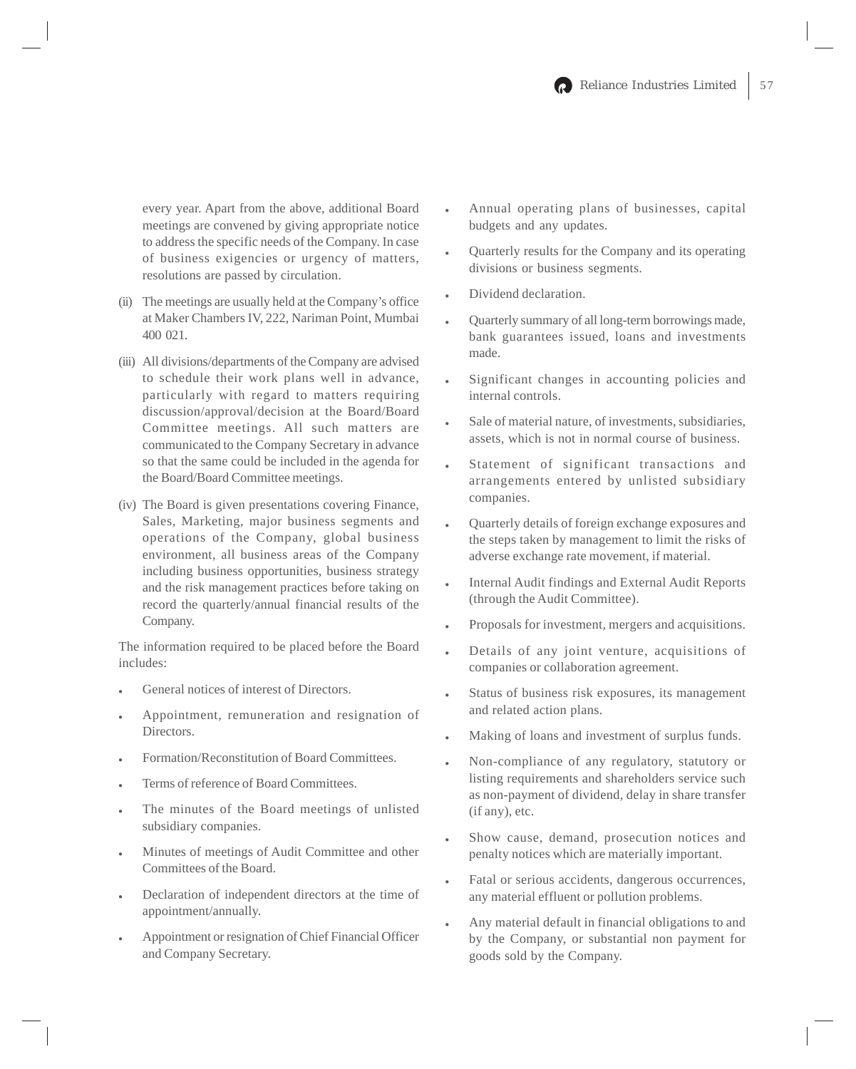every year. Apart from the above, additional Board meetings are convened by giving appropriate notice to address the specific needs of the Company. In case of business exigencies or urgency of matters, resolutions are passed by circulation.

- (ii) The meetings are usually held at the Company's office at Maker Chambers IV, 222, Nariman Point, Mumbai 400 021.
- (iii) All divisions/departments of the Company are advised to schedule their work plans well in advance, particularly with regard to matters requiring discussion/approval/decision at the Board/Board Committee meetings. All such matters are communicated to the Company Secretary in advance so that the same could be included in the agenda for the Board/Board Committee meetings.
- (iv) The Board is given presentations covering Finance, Sales, Marketing, major business segments and operations of the Company, global business environment, all business areas of the Company including business opportunities, business strategy and the risk management practices before taking on record the quarterly/annual financial results of the Company.

The information required to be placed before the Board includes:

- General notices of interest of Directors.
- Appointment, remuneration and resignation of Directors.
- Formation/Reconstitution of Board Committees.
- Terms of reference of Board Committees.
- The minutes of the Board meetings of unlisted subsidiary companies.
- Minutes of meetings of Audit Committee and other Committees of the Board.
- Declaration of independent directors at the time of appointment/annually.
- Appointment or resignation of Chief Financial Officer and Company Secretary.
- Annual operating plans of businesses, capital budgets and any updates.
- Quarterly results for the Company and its operating divisions or business segments.
- Dividend declaration.
- Quarterly summary of all long-term borrowings made, bank guarantees issued, loans and investments made.
- Significant changes in accounting policies and internal controls.
- Sale of material nature, of investments, subsidiaries, assets, which is not in normal course of business.
- Statement of significant transactions and arrangements entered by unlisted subsidiary companies.
- Quarterly details of foreign exchange exposures and the steps taken by management to limit the risks of adverse exchange rate movement, if material.
- Internal Audit findings and External Audit Reports (through the Audit Committee).
- Proposals for investment, mergers and acquisitions.
- Details of any joint venture, acquisitions of companies or collaboration agreement.
- Status of business risk exposures, its management and related action plans.
- Making of loans and investment of surplus funds.
- Non-compliance of any regulatory, statutory or listing requirements and shareholders service such as non-payment of dividend, delay in share transfer (if any), etc.
- Show cause, demand, prosecution notices and penalty notices which are materially important.
- Fatal or serious accidents, dangerous occurrences, any material effluent or pollution problems.
- Any material default in financial obligations to and by the Company, or substantial non payment for goods sold by the Company.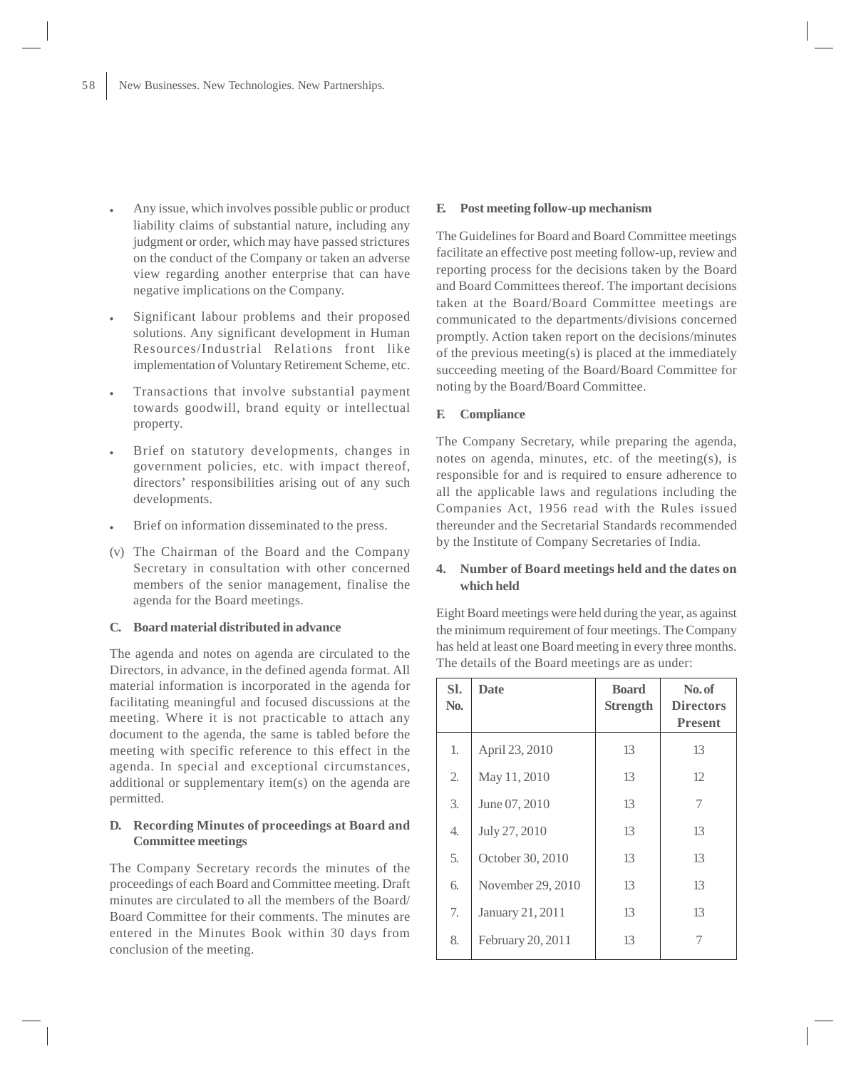- Any issue, which involves possible public or product liability claims of substantial nature, including any judgment or order, which may have passed strictures on the conduct of the Company or taken an adverse view regarding another enterprise that can have negative implications on the Company.
- Significant labour problems and their proposed solutions. Any significant development in Human Resources/Industrial Relations front like implementation of Voluntary Retirement Scheme, etc.
- Transactions that involve substantial payment towards goodwill, brand equity or intellectual property.
- Brief on statutory developments, changes in government policies, etc. with impact thereof, directors' responsibilities arising out of any such developments.
- Brief on information disseminated to the press.
- (v) The Chairman of the Board and the Company Secretary in consultation with other concerned members of the senior management, finalise the agenda for the Board meetings.

# **C. Board material distributed in advance**

The agenda and notes on agenda are circulated to the Directors, in advance, in the defined agenda format. All material information is incorporated in the agenda for facilitating meaningful and focused discussions at the meeting. Where it is not practicable to attach any document to the agenda, the same is tabled before the meeting with specific reference to this effect in the agenda. In special and exceptional circumstances, additional or supplementary item(s) on the agenda are permitted.

# **D. Recording Minutes of proceedings at Board and Committee meetings**

The Company Secretary records the minutes of the proceedings of each Board and Committee meeting. Draft minutes are circulated to all the members of the Board/ Board Committee for their comments. The minutes are entered in the Minutes Book within 30 days from conclusion of the meeting.

#### **E. Post meeting follow-up mechanism**

The Guidelines for Board and Board Committee meetings facilitate an effective post meeting follow-up, review and reporting process for the decisions taken by the Board and Board Committees thereof. The important decisions taken at the Board/Board Committee meetings are communicated to the departments/divisions concerned promptly. Action taken report on the decisions/minutes of the previous meeting(s) is placed at the immediately succeeding meeting of the Board/Board Committee for noting by the Board/Board Committee.

### **F. Compliance**

The Company Secretary, while preparing the agenda, notes on agenda, minutes, etc. of the meeting(s), is responsible for and is required to ensure adherence to all the applicable laws and regulations including the Companies Act, 1956 read with the Rules issued thereunder and the Secretarial Standards recommended by the Institute of Company Secretaries of India.

# **4. Number of Board meetings held and the dates on which held**

Eight Board meetings were held during the year, as against the minimum requirement of four meetings. The Company has held at least one Board meeting in every three months. The details of the Board meetings are as under:

| SI.<br>No. | <b>Date</b>       | <b>Board</b><br><b>Strength</b> | No. of<br><b>Directors</b><br><b>Present</b> |
|------------|-------------------|---------------------------------|----------------------------------------------|
| 1.         | April 23, 2010    | 13                              | 13                                           |
| 2.         | May 11, 2010      | 13                              | 12                                           |
| 3.         | June 07, 2010     | 13                              | 7                                            |
| 4.         | July 27, 2010     | 13                              | 13                                           |
| 5.         | October 30, 2010  | 13                              | 13                                           |
| 6.         | November 29, 2010 | 13                              | 13                                           |
| 7.         | January 21, 2011  | 13                              | 13                                           |
| 8.         | February 20, 2011 | 13                              | 7                                            |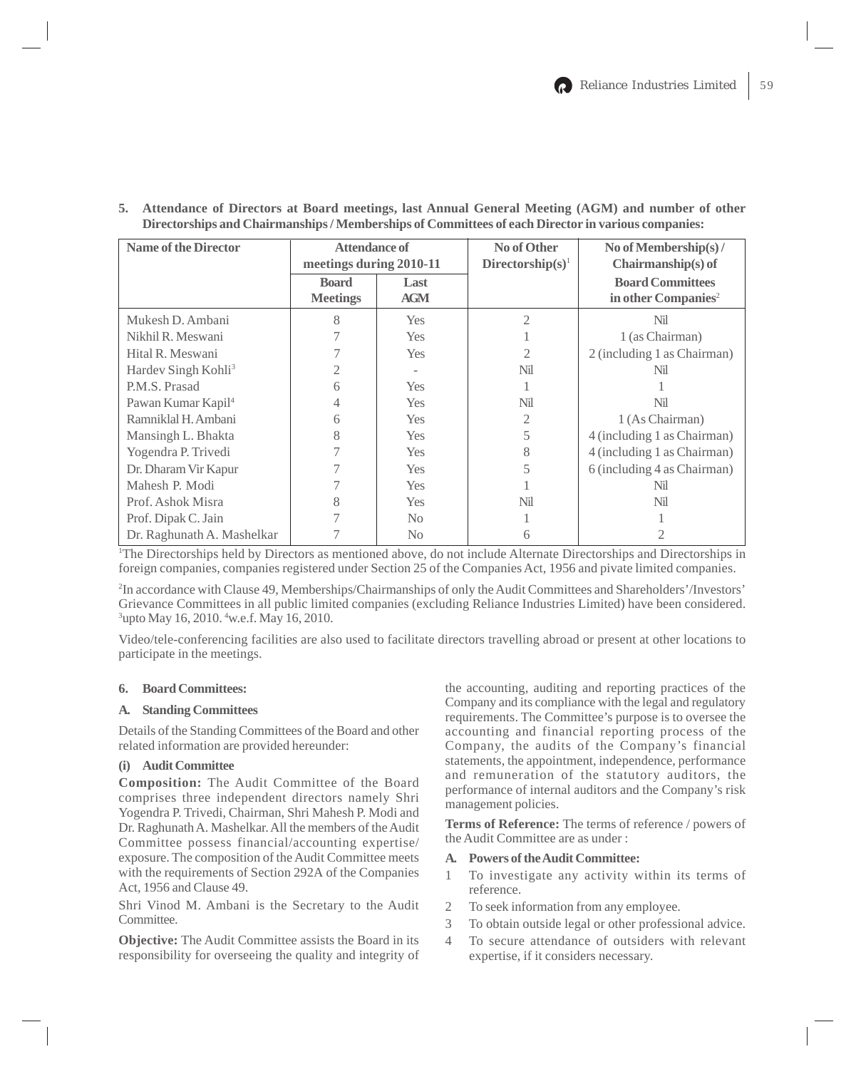| <b>Name of the Director</b>     | Attendance of<br>meetings during 2010-11 |                    | No of Other<br>Directorship( $s$ ) <sup>1</sup> | No of Membership(s) /<br>$Chairmanship(s)$ of              |
|---------------------------------|------------------------------------------|--------------------|-------------------------------------------------|------------------------------------------------------------|
|                                 | <b>Board</b><br><b>Meetings</b>          | Last<br><b>AGM</b> |                                                 | <b>Board Committees</b><br>in other Companies <sup>2</sup> |
| Mukesh D. Ambani                | 8                                        | <b>Yes</b>         | $\mathcal{D}_{\mathcal{L}}$                     | Nil                                                        |
| Nikhil R. Meswani               |                                          | <b>Yes</b>         |                                                 | 1 (as Chairman)                                            |
| Hital R. Meswani                |                                          | <b>Yes</b>         |                                                 | 2 (including 1 as Chairman)                                |
| Hardev Singh Kohli <sup>3</sup> |                                          |                    | Nil                                             | Nil                                                        |
| P.M.S. Prasad                   | 6                                        | <b>Yes</b>         |                                                 |                                                            |
| Pawan Kumar Kapil <sup>4</sup>  |                                          | <b>Yes</b>         | Nil                                             | Nil                                                        |
| Ramniklal H. Ambani             | 6                                        | <b>Yes</b>         |                                                 | 1 (As Chairman)                                            |
| Mansingh L. Bhakta              | 8                                        | <b>Yes</b>         |                                                 | 4 (including 1 as Chairman)                                |
| Yogendra P. Trivedi             |                                          | <b>Yes</b>         | 8                                               | 4 (including 1 as Chairman)                                |
| Dr. Dharam Vir Kapur            |                                          | <b>Yes</b>         |                                                 | 6 (including 4 as Chairman)                                |
| Mahesh P. Modi                  |                                          | <b>Yes</b>         |                                                 | Nil                                                        |
| Prof. Ashok Misra               |                                          | <b>Yes</b>         | Nil                                             | Nil                                                        |
| Prof. Dipak C. Jain             |                                          | N <sub>0</sub>     |                                                 |                                                            |
| Dr. Raghunath A. Mashelkar      |                                          | N <sub>0</sub>     |                                                 |                                                            |

**5. Attendance of Directors at Board meetings, last Annual General Meeting (AGM) and number of other Directorships and Chairmanships / Memberships of Committees of each Director in various companies:**

1 The Directorships held by Directors as mentioned above, do not include Alternate Directorships and Directorships in foreign companies, companies registered under Section 25 of the Companies Act, 1956 and pivate limited companies.

2 In accordance with Clause 49, Memberships/Chairmanships of only the Audit Committees and Shareholders'/Investors' Grievance Committees in all public limited companies (excluding Reliance Industries Limited) have been considered. 3 upto May 16, 2010. 4 w.e.f. May 16, 2010.

Video/tele-conferencing facilities are also used to facilitate directors travelling abroad or present at other locations to participate in the meetings.

# **6. Board Committees:**

# **A. Standing Committees**

Details of the Standing Committees of the Board and other related information are provided hereunder:

# **(i) Audit Committee**

**Composition:** The Audit Committee of the Board comprises three independent directors namely Shri Yogendra P. Trivedi, Chairman, Shri Mahesh P. Modi and Dr. Raghunath A. Mashelkar. All the members of the Audit Committee possess financial/accounting expertise/ exposure. The composition of the Audit Committee meets with the requirements of Section 292A of the Companies Act, 1956 and Clause 49.

Shri Vinod M. Ambani is the Secretary to the Audit Committee.

**Objective:** The Audit Committee assists the Board in its responsibility for overseeing the quality and integrity of

the accounting, auditing and reporting practices of the Company and its compliance with the legal and regulatory requirements. The Committee's purpose is to oversee the accounting and financial reporting process of the Company, the audits of the Company's financial statements, the appointment, independence, performance and remuneration of the statutory auditors, the performance of internal auditors and the Company's risk management policies.

**Terms of Reference:** The terms of reference / powers of the Audit Committee are as under :

# **A. Powers of the Audit Committee:**

- 1 To investigate any activity within its terms of reference.
- 2 To seek information from any employee.
- 3 To obtain outside legal or other professional advice.
- 4 To secure attendance of outsiders with relevant expertise, if it considers necessary.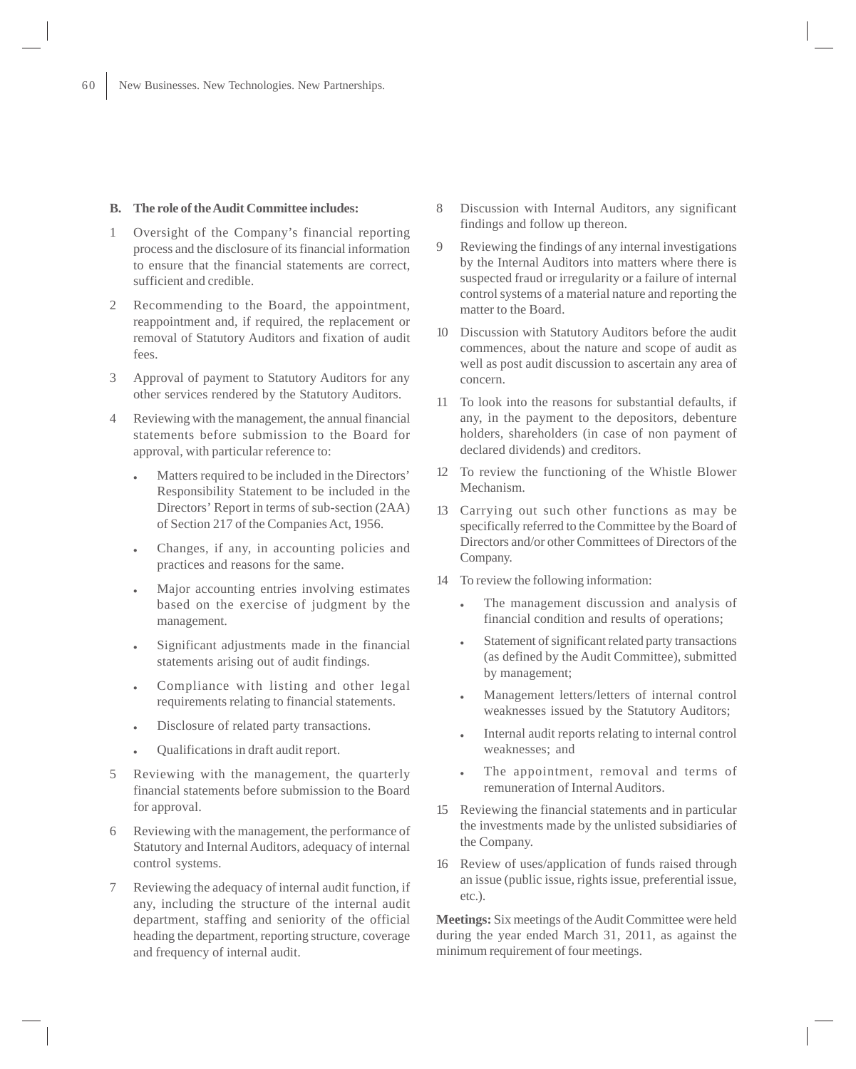# **B. The role of the Audit Committee includes:**

- 1 Oversight of the Company's financial reporting process and the disclosure of its financial information to ensure that the financial statements are correct, sufficient and credible.
- 2 Recommending to the Board, the appointment, reappointment and, if required, the replacement or removal of Statutory Auditors and fixation of audit fees.
- 3 Approval of payment to Statutory Auditors for any other services rendered by the Statutory Auditors.
- 4 Reviewing with the management, the annual financial statements before submission to the Board for approval, with particular reference to:
	- Matters required to be included in the Directors' Responsibility Statement to be included in the Directors' Report in terms of sub-section (2AA) of Section 217 of the Companies Act, 1956.
	- Changes, if any, in accounting policies and practices and reasons for the same.
	- Major accounting entries involving estimates based on the exercise of judgment by the management.
	- Significant adjustments made in the financial statements arising out of audit findings.
	- Compliance with listing and other legal requirements relating to financial statements.
	- Disclosure of related party transactions.
	- Qualifications in draft audit report.
- 5 Reviewing with the management, the quarterly financial statements before submission to the Board for approval.
- 6 Reviewing with the management, the performance of Statutory and Internal Auditors, adequacy of internal control systems.
- 7 Reviewing the adequacy of internal audit function, if any, including the structure of the internal audit department, staffing and seniority of the official heading the department, reporting structure, coverage and frequency of internal audit.
- 8 Discussion with Internal Auditors, any significant findings and follow up thereon.
- 9 Reviewing the findings of any internal investigations by the Internal Auditors into matters where there is suspected fraud or irregularity or a failure of internal control systems of a material nature and reporting the matter to the Board.
- 10 Discussion with Statutory Auditors before the audit commences, about the nature and scope of audit as well as post audit discussion to ascertain any area of concern.
- 11 To look into the reasons for substantial defaults, if any, in the payment to the depositors, debenture holders, shareholders (in case of non payment of declared dividends) and creditors.
- 12 To review the functioning of the Whistle Blower Mechanism.
- 13 Carrying out such other functions as may be specifically referred to the Committee by the Board of Directors and/or other Committees of Directors of the Company.
- 14 To review the following information:
	- The management discussion and analysis of financial condition and results of operations;
	- Statement of significant related party transactions (as defined by the Audit Committee), submitted by management;
	- Management letters/letters of internal control weaknesses issued by the Statutory Auditors;
	- Internal audit reports relating to internal control weaknesses; and
	- The appointment, removal and terms of remuneration of Internal Auditors.
- 15 Reviewing the financial statements and in particular the investments made by the unlisted subsidiaries of the Company.
- 16 Review of uses/application of funds raised through an issue (public issue, rights issue, preferential issue, etc.).

**Meetings:** Six meetings of the Audit Committee were held during the year ended March 31, 2011, as against the minimum requirement of four meetings.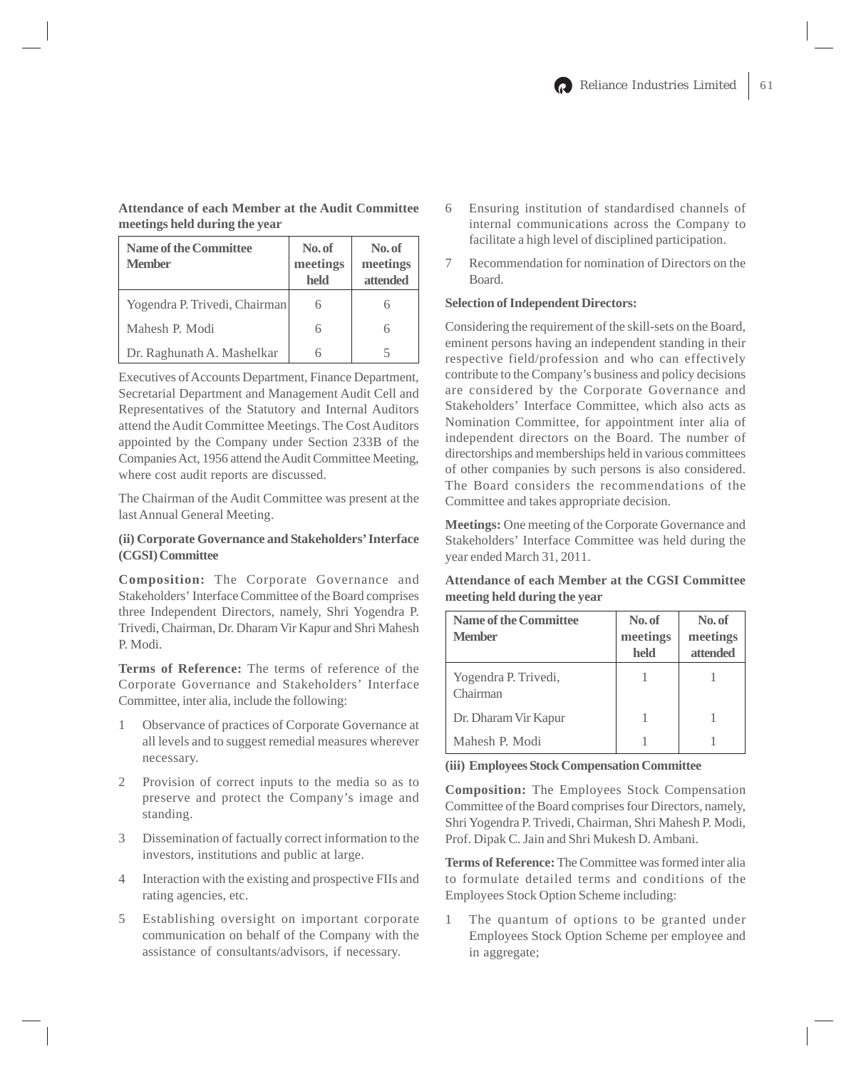**Attendance of each Member at the Audit Committee meetings held during the year**

| Name of the Committee<br><b>Member</b> | No. of<br>meetings<br>held | No. of<br>meetings<br>attended |
|----------------------------------------|----------------------------|--------------------------------|
| Yogendra P. Trivedi, Chairman          |                            |                                |
| Mahesh P. Modi                         |                            | 6                              |
| Dr. Raghunath A. Mashelkar             |                            |                                |

Executives of Accounts Department, Finance Department, Secretarial Department and Management Audit Cell and Representatives of the Statutory and Internal Auditors attend the Audit Committee Meetings. The Cost Auditors appointed by the Company under Section 233B of the Companies Act, 1956 attend the Audit Committee Meeting, where cost audit reports are discussed.

The Chairman of the Audit Committee was present at the last Annual General Meeting.

# **(ii) Corporate Governance and Stakeholders' Interface (CGSI) Committee**

**Composition:** The Corporate Governance and Stakeholders' Interface Committee of the Board comprises three Independent Directors, namely, Shri Yogendra P. Trivedi, Chairman, Dr. Dharam Vir Kapur and Shri Mahesh P. Modi.

**Terms of Reference:** The terms of reference of the Corporate Governance and Stakeholders' Interface Committee, inter alia, include the following:

- 1 Observance of practices of Corporate Governance at all levels and to suggest remedial measures wherever necessary.
- 2 Provision of correct inputs to the media so as to preserve and protect the Company's image and standing.
- 3 Dissemination of factually correct information to the investors, institutions and public at large.
- 4 Interaction with the existing and prospective FIIs and rating agencies, etc.
- 5 Establishing oversight on important corporate communication on behalf of the Company with the assistance of consultants/advisors, if necessary.
- 6 Ensuring institution of standardised channels of internal communications across the Company to facilitate a high level of disciplined participation.
- 7 Recommendation for nomination of Directors on the Board.

# **Selection of Independent Directors:**

Considering the requirement of the skill-sets on the Board, eminent persons having an independent standing in their respective field/profession and who can effectively contribute to the Company's business and policy decisions are considered by the Corporate Governance and Stakeholders' Interface Committee, which also acts as Nomination Committee, for appointment inter alia of independent directors on the Board. The number of directorships and memberships held in various committees of other companies by such persons is also considered. The Board considers the recommendations of the Committee and takes appropriate decision.

**Meetings:** One meeting of the Corporate Governance and Stakeholders' Interface Committee was held during the year ended March 31, 2011.

**Attendance of each Member at the CGSI Committee meeting held during the year**

| <b>Name of the Committee</b><br><b>Member</b> | No. of<br>meetings<br>held | No. of<br>meetings<br>attended |
|-----------------------------------------------|----------------------------|--------------------------------|
| Yogendra P. Trivedi,<br>Chairman              |                            |                                |
| Dr. Dharam Vir Kapur                          |                            |                                |
| Mahesh P. Modi                                |                            |                                |

**(iii) Employees Stock Compensation Committee**

**Composition:** The Employees Stock Compensation Committee of the Board comprises four Directors, namely, Shri Yogendra P. Trivedi, Chairman, Shri Mahesh P. Modi, Prof. Dipak C. Jain and Shri Mukesh D. Ambani.

**Terms of Reference:** The Committee was formed inter alia to formulate detailed terms and conditions of the Employees Stock Option Scheme including:

1 The quantum of options to be granted under Employees Stock Option Scheme per employee and in aggregate;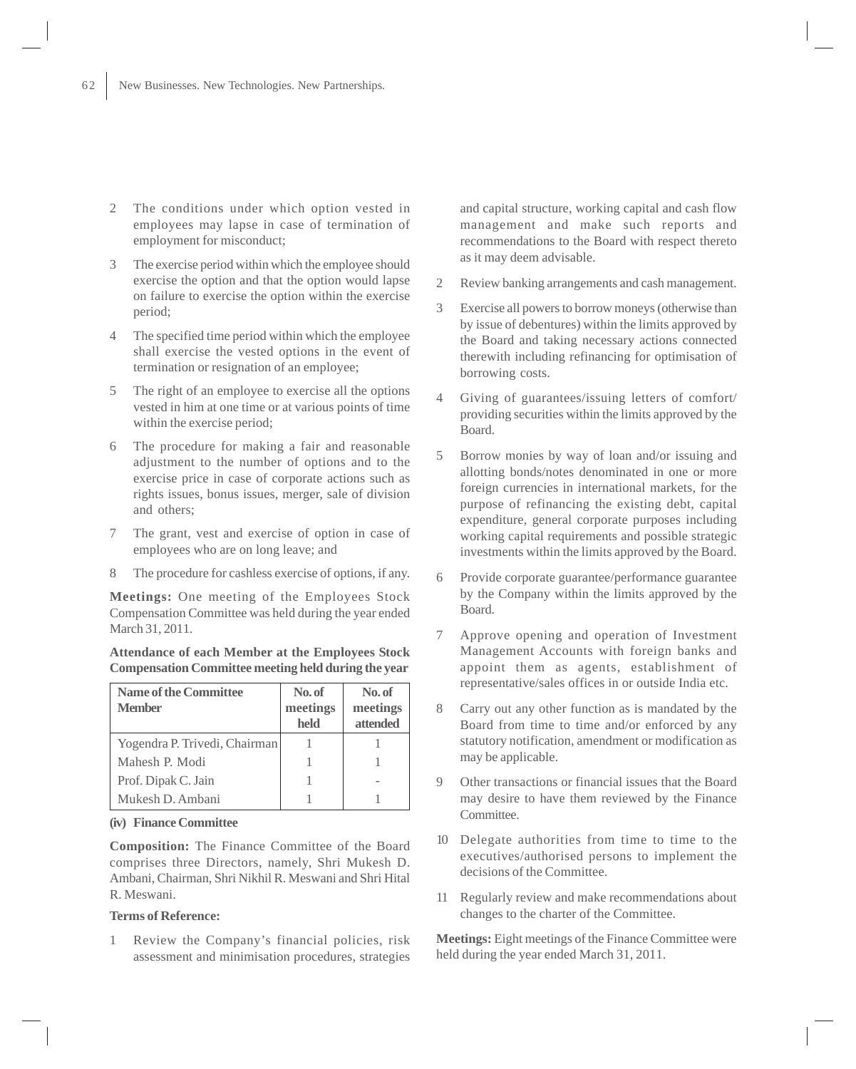- 2 The conditions under which option vested in employees may lapse in case of termination of employment for misconduct;
- 3 The exercise period within which the employee should exercise the option and that the option would lapse on failure to exercise the option within the exercise period;
- 4 The specified time period within which the employee shall exercise the vested options in the event of termination or resignation of an employee;
- 5 The right of an employee to exercise all the options vested in him at one time or at various points of time within the exercise period;
- 6 The procedure for making a fair and reasonable adjustment to the number of options and to the exercise price in case of corporate actions such as rights issues, bonus issues, merger, sale of division and others;
- 7 The grant, vest and exercise of option in case of employees who are on long leave; and
- 8 The procedure for cashless exercise of options, if any.

**Meetings:** One meeting of the Employees Stock Compensation Committee was held during the year ended March 31, 2011.

# **Attendance of each Member at the Employees Stock Compensation Committee meeting held during the year**

| <b>Name of the Committee</b>  | No. of   | No. of   |
|-------------------------------|----------|----------|
| <b>Member</b>                 | meetings | meetings |
|                               | held     | attended |
| Yogendra P. Trivedi, Chairman |          |          |
| Mahesh P. Modi                |          |          |
| Prof. Dipak C. Jain           |          |          |
| Mukesh D. Ambani              |          |          |

# **(iv) Finance Committee**

**Composition:** The Finance Committee of the Board comprises three Directors, namely, Shri Mukesh D. Ambani, Chairman, Shri Nikhil R. Meswani and Shri Hital R. Meswani.

# **Terms of Reference:**

1 Review the Company's financial policies, risk assessment and minimisation procedures, strategies and capital structure, working capital and cash flow management and make such reports and recommendations to the Board with respect thereto as it may deem advisable.

- 2 Review banking arrangements and cash management.
- 3 Exercise all powers to borrow moneys (otherwise than by issue of debentures) within the limits approved by the Board and taking necessary actions connected therewith including refinancing for optimisation of borrowing costs.
- 4 Giving of guarantees/issuing letters of comfort/ providing securities within the limits approved by the Board.
- 5 Borrow monies by way of loan and/or issuing and allotting bonds/notes denominated in one or more foreign currencies in international markets, for the purpose of refinancing the existing debt, capital expenditure, general corporate purposes including working capital requirements and possible strategic investments within the limits approved by the Board.
- 6 Provide corporate guarantee/performance guarantee by the Company within the limits approved by the Board.
- 7 Approve opening and operation of Investment Management Accounts with foreign banks and appoint them as agents, establishment of representative/sales offices in or outside India etc.
- 8 Carry out any other function as is mandated by the Board from time to time and/or enforced by any statutory notification, amendment or modification as may be applicable.
- 9 Other transactions or financial issues that the Board may desire to have them reviewed by the Finance Committee.
- 10 Delegate authorities from time to time to the executives/authorised persons to implement the decisions of the Committee.
- 11 Regularly review and make recommendations about changes to the charter of the Committee.

**Meetings:** Eight meetings of the Finance Committee were held during the year ended March 31, 2011.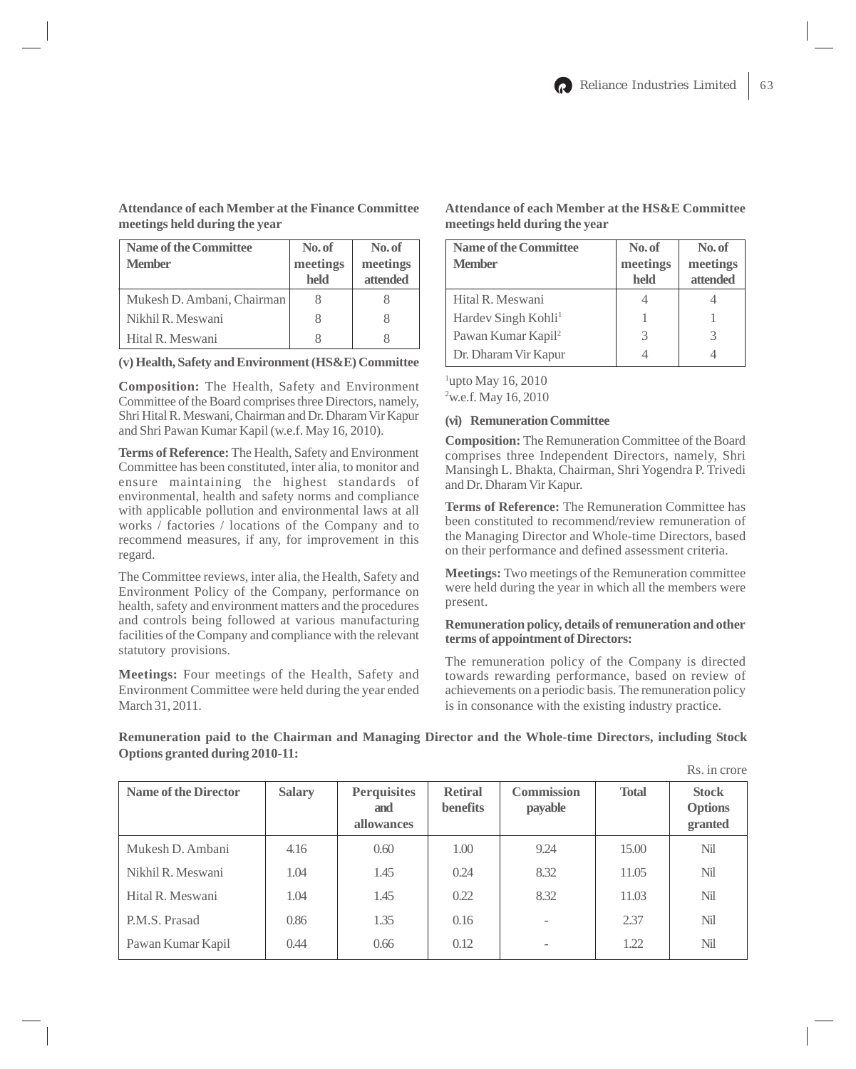**Attendance of each Member at the Finance Committee meetings held during the year**

# Name of the Committee No. of No. of **Member** meetings meetings **held attended** Mukesh D. Ambani, Chairman 8 8 Nikhil R. Meswani 8 8 Hital R. Meswani 8 8

**(v) Health, Safety and Environment (HS&E) Committee**

**Composition:** The Health, Safety and Environment Committee of the Board comprises three Directors, namely, Shri Hital R. Meswani, Chairman and Dr. Dharam Vir Kapur and Shri Pawan Kumar Kapil (w.e.f. May 16, 2010).

**Terms of Reference:** The Health, Safety and Environment Committee has been constituted, inter alia, to monitor and ensure maintaining the highest standards of environmental, health and safety norms and compliance with applicable pollution and environmental laws at all works / factories / locations of the Company and to recommend measures, if any, for improvement in this regard.

The Committee reviews, inter alia, the Health, Safety and Environment Policy of the Company, performance on health, safety and environment matters and the procedures and controls being followed at various manufacturing facilities of the Company and compliance with the relevant statutory provisions.

**Meetings:** Four meetings of the Health, Safety and Environment Committee were held during the year ended March 31, 2011.

| <b>Name of the Committee</b><br><b>Member</b> | No. of<br>meetings<br>held | No. of<br>meetings<br>attended |
|-----------------------------------------------|----------------------------|--------------------------------|
| Hital R. Meswani                              |                            |                                |
| Hardev Singh Kohli <sup>1</sup>               |                            |                                |
| Pawan Kumar Kapil <sup>2</sup>                |                            | 3                              |
| Dr. Dharam Vir Kapur                          |                            |                                |

**Attendance of each Member at the HS&E Committee meetings held during the year**

<sup>1</sup>upto May 16, 2010 <sup>2</sup> w.e.f. May 16, 2010

# **(vi) Remuneration Committee**

**Composition:** The Remuneration Committee of the Board comprises three Independent Directors, namely, Shri Mansingh L. Bhakta, Chairman, Shri Yogendra P. Trivedi and Dr. Dharam Vir Kapur.

**Terms of Reference:** The Remuneration Committee has been constituted to recommend/review remuneration of the Managing Director and Whole-time Directors, based on their performance and defined assessment criteria.

**Meetings:** Two meetings of the Remuneration committee were held during the year in which all the members were present.

### **Remuneration policy, details of remuneration and other terms of appointment of Directors:**

The remuneration policy of the Company is directed towards rewarding performance, based on review of achievements on a periodic basis. The remuneration policy is in consonance with the existing industry practice.

# Rs. in crore **Name of the Director Salary Perquisites Retiral Commission Total Stock and benefits payable Options allowances granted** Mukesh D. Ambani | 4.16 | 0.60 | 1.00 | 9.24 | 15.00 | Nil Nikhil R. Meswani 1.04 1.45 0.24 8.32 1.105 Nil Hital R. Meswani 1.04 1.45 0.22 8.32 11.03 Nil P.M.S. Prasad 1 0.86 1 1.35 0.16 - 2.37 Nil Pawan Kumar Kapil | 0.44 | 0.66 | 0.12 | - | 1.22 | Nil

# **Remuneration paid to the Chairman and Managing Director and the Whole-time Directors, including Stock Options granted during 2010-11:**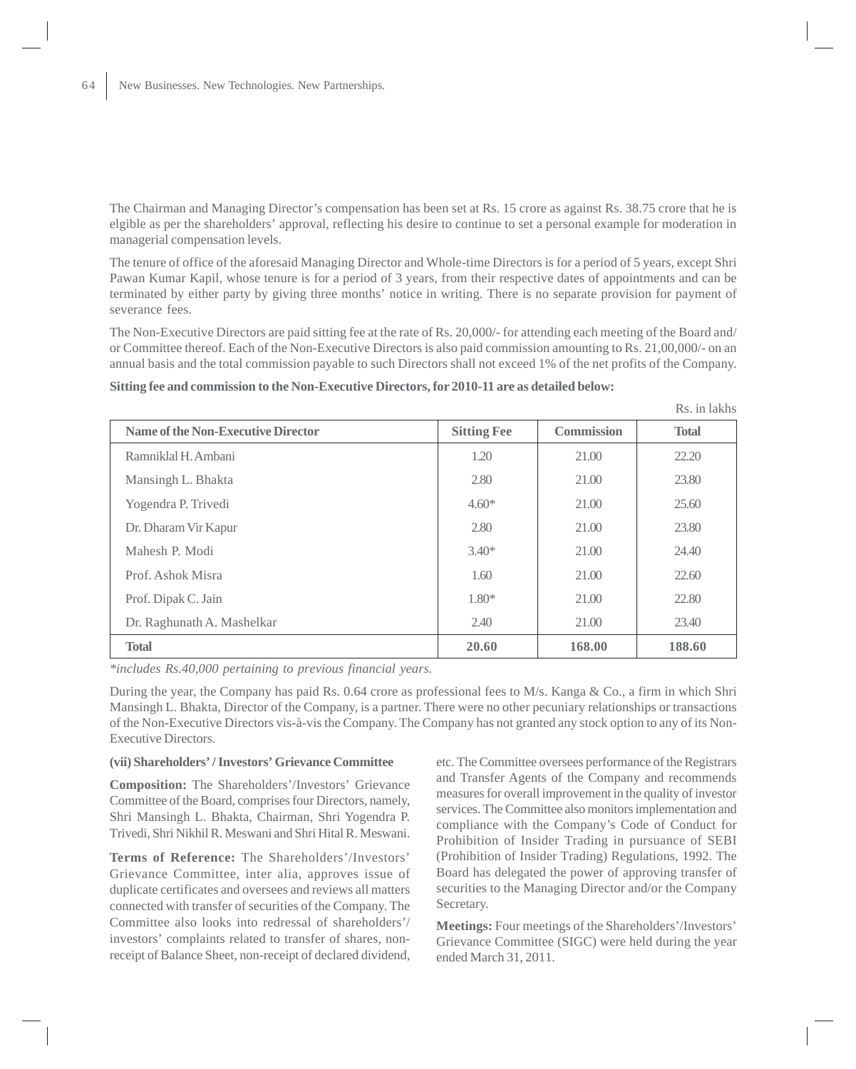The Chairman and Managing Director's compensation has been set at Rs. 15 crore as against Rs. 38.75 crore that he is elgible as per the shareholders' approval, reflecting his desire to continue to set a personal example for moderation in managerial compensation levels.

The tenure of office of the aforesaid Managing Director and Whole-time Directors is for a period of 5 years, except Shri Pawan Kumar Kapil, whose tenure is for a period of 3 years, from their respective dates of appointments and can be terminated by either party by giving three months' notice in writing. There is no separate provision for payment of severance fees.

The Non-Executive Directors are paid sitting fee at the rate of Rs. 20,000/- for attending each meeting of the Board and/ or Committee thereof. Each of the Non-Executive Directors is also paid commission amounting to Rs. 21,00,000/- on an annual basis and the total commission payable to such Directors shall not exceed 1% of the net profits of the Company.

# **Sitting fee and commission to the Non-Executive Directors, for 2010-11 are as detailed below:**

| Name of the Non-Executive Director | <b>Sitting Fee</b> | Commission | <b>Total</b> |
|------------------------------------|--------------------|------------|--------------|
| Ramniklal H. Ambani                | 1.20               | 21.00      | 22.20        |
| Mansingh L. Bhakta                 | 2.80               | 21.00      | 23.80        |
| Yogendra P. Trivedi                | $4.60*$            | 21.00      | 25.60        |
| Dr. Dharam Vir Kapur               | 2.80               | 21.00      | 23.80        |
| Mahesh P. Modi                     | $3.40*$            | 21.00      | 24.40        |
| Prof. Ashok Misra                  | 1.60               | 21.00      | 22.60        |
| Prof. Dipak C. Jain                | $1.80*$            | 21.00      | 22.80        |
| Dr. Raghunath A. Mashelkar         | 2.40               | 21.00      | 23.40        |
| <b>Total</b>                       | 20.60              | 168.00     | 188.60       |

*\*includes Rs.40,000 pertaining to previous financial years.*

During the year, the Company has paid Rs. 0.64 crore as professional fees to M/s. Kanga & Co., a firm in which Shri Mansingh L. Bhakta, Director of the Company, is a partner. There were no other pecuniary relationships or transactions of the Non-Executive Directors vis-à-vis the Company. The Company has not granted any stock option to any of its Non-Executive Directors.

# **(vii) Shareholders' / Investors' Grievance Committee**

**Composition:** The Shareholders'/Investors' Grievance Committee of the Board, comprises four Directors, namely, Shri Mansingh L. Bhakta, Chairman, Shri Yogendra P. Trivedi, Shri Nikhil R. Meswani and Shri Hital R. Meswani.

**Terms of Reference:** The Shareholders'/Investors' Grievance Committee, inter alia, approves issue of duplicate certificates and oversees and reviews all matters connected with transfer of securities of the Company. The Committee also looks into redressal of shareholders'/ investors' complaints related to transfer of shares, nonreceipt of Balance Sheet, non-receipt of declared dividend, etc. The Committee oversees performance of the Registrars and Transfer Agents of the Company and recommends measures for overall improvement in the quality of investor services. The Committee also monitors implementation and compliance with the Company's Code of Conduct for Prohibition of Insider Trading in pursuance of SEBI (Prohibition of Insider Trading) Regulations, 1992. The Board has delegated the power of approving transfer of securities to the Managing Director and/or the Company Secretary.

Rs. in lakhs

**Meetings:** Four meetings of the Shareholders'/Investors' Grievance Committee (SIGC) were held during the year ended March 31, 2011.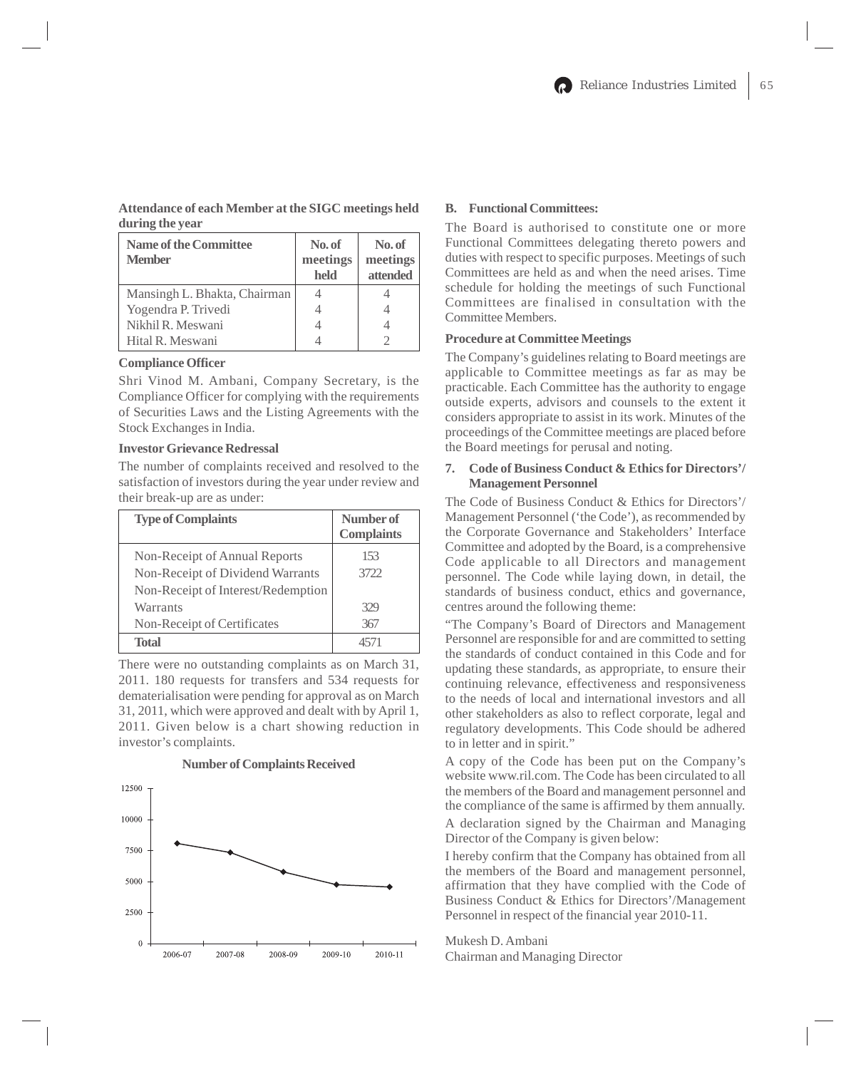# **Attendance of each Member at the SIGC meetings held during the year**

| <b>Name of the Committee</b><br><b>Member</b> | No. of<br>meetings<br>held | No. of<br>meetings<br>attended |
|-----------------------------------------------|----------------------------|--------------------------------|
| Mansingh L. Bhakta, Chairman                  |                            |                                |
| Yogendra P. Trivedi                           |                            |                                |
| Nikhil R. Meswani                             |                            |                                |
| Hital R. Meswani                              |                            |                                |

### **Compliance Officer**

Shri Vinod M. Ambani, Company Secretary, is the Compliance Officer for complying with the requirements of Securities Laws and the Listing Agreements with the Stock Exchanges in India.

#### **Investor Grievance Redressal**

The number of complaints received and resolved to the satisfaction of investors during the year under review and their break-up are as under:

| <b>Type of Complaints</b>          | Number of         |
|------------------------------------|-------------------|
|                                    | <b>Complaints</b> |
| Non-Receipt of Annual Reports      | 153               |
| Non-Receipt of Dividend Warrants   | 3722              |
| Non-Receipt of Interest/Redemption |                   |
| Warrants                           | 329               |
| Non-Receipt of Certificates        | 367               |
| <b>Total</b>                       | 4571              |

There were no outstanding complaints as on March 31, 2011. 180 requests for transfers and 534 requests for dematerialisation were pending for approval as on March 31, 2011, which were approved and dealt with by April 1, 2011. Given below is a chart showing reduction in investor's complaints.



#### **Number of Complaints Received**

### **B. Functional Committees:**

The Board is authorised to constitute one or more Functional Committees delegating thereto powers and duties with respect to specific purposes. Meetings of such Committees are held as and when the need arises. Time schedule for holding the meetings of such Functional Committees are finalised in consultation with the Committee Members.

#### **Procedure at Committee Meetings**

The Company's guidelines relating to Board meetings are applicable to Committee meetings as far as may be practicable. Each Committee has the authority to engage outside experts, advisors and counsels to the extent it considers appropriate to assist in its work. Minutes of the proceedings of the Committee meetings are placed before the Board meetings for perusal and noting.

### **7. Code of Business Conduct & Ethics for Directors'/ Management Personnel**

The Code of Business Conduct & Ethics for Directors'/ Management Personnel ('the Code'), as recommended by the Corporate Governance and Stakeholders' Interface Committee and adopted by the Board, is a comprehensive Code applicable to all Directors and management personnel. The Code while laying down, in detail, the standards of business conduct, ethics and governance, centres around the following theme:

"The Company's Board of Directors and Management Personnel are responsible for and are committed to setting the standards of conduct contained in this Code and for updating these standards, as appropriate, to ensure their continuing relevance, effectiveness and responsiveness to the needs of local and international investors and all other stakeholders as also to reflect corporate, legal and regulatory developments. This Code should be adhered to in letter and in spirit."

A copy of the Code has been put on the Company's website www.ril.com. The Code has been circulated to all the members of the Board and management personnel and the compliance of the same is affirmed by them annually. A declaration signed by the Chairman and Managing Director of the Company is given below:

I hereby confirm that the Company has obtained from all the members of the Board and management personnel, affirmation that they have complied with the Code of Business Conduct & Ethics for Directors'/Management Personnel in respect of the financial year 2010-11.

Mukesh D. Ambani Chairman and Managing Director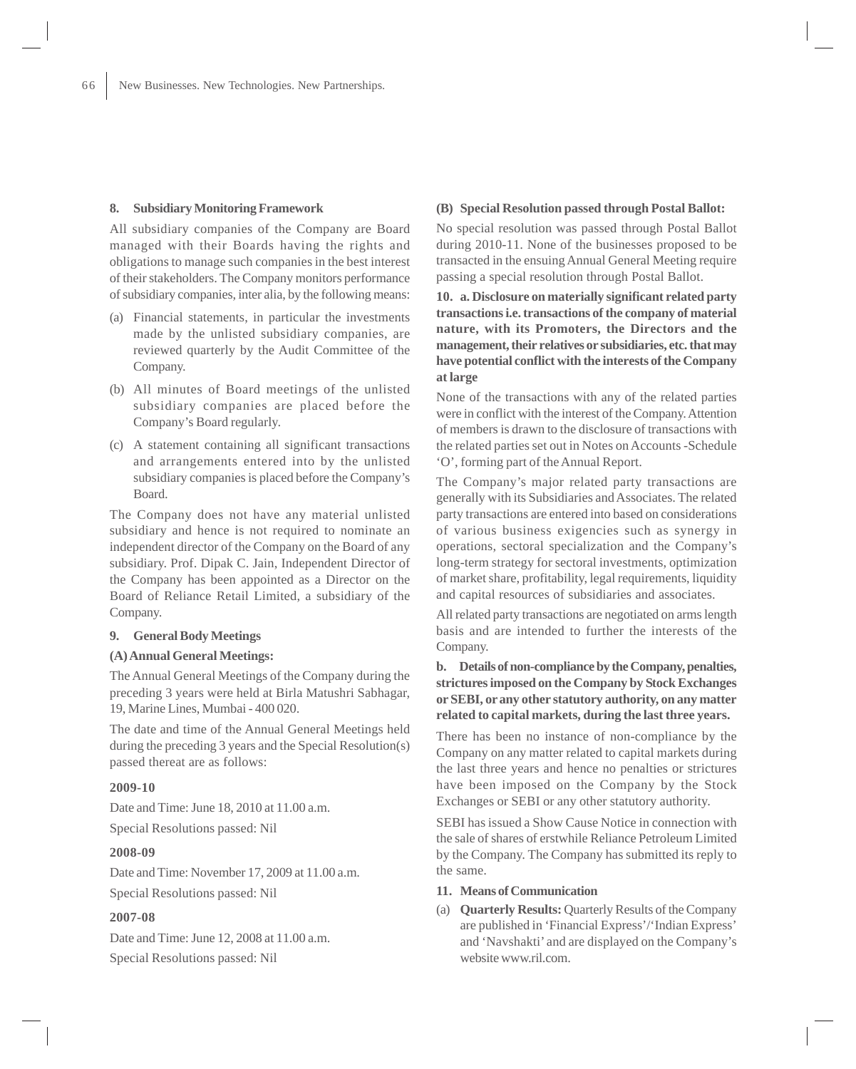# **8. Subsidiary Monitoring Framework**

All subsidiary companies of the Company are Board managed with their Boards having the rights and obligations to manage such companies in the best interest of their stakeholders. The Company monitors performance of subsidiary companies, inter alia, by the following means:

- (a) Financial statements, in particular the investments made by the unlisted subsidiary companies, are reviewed quarterly by the Audit Committee of the Company.
- (b) All minutes of Board meetings of the unlisted subsidiary companies are placed before the Company's Board regularly.
- (c) A statement containing all significant transactions and arrangements entered into by the unlisted subsidiary companies is placed before the Company's Board.

The Company does not have any material unlisted subsidiary and hence is not required to nominate an independent director of the Company on the Board of any subsidiary. Prof. Dipak C. Jain, Independent Director of the Company has been appointed as a Director on the Board of Reliance Retail Limited, a subsidiary of the Company.

# **9. General Body Meetings**

#### **(A) Annual General Meetings:**

The Annual General Meetings of the Company during the preceding 3 years were held at Birla Matushri Sabhagar, 19, Marine Lines, Mumbai - 400 020.

The date and time of the Annual General Meetings held during the preceding 3 years and the Special Resolution(s) passed thereat are as follows:

### **2009-10**

Date and Time: June 18, 2010 at 11.00 a.m. Special Resolutions passed: Nil

#### **2008-09**

Date and Time: November 17, 2009 at 11.00 a.m. Special Resolutions passed: Nil

# **2007-08**

Date and Time: June 12, 2008 at 11.00 a.m. Special Resolutions passed: Nil

# **(B) Special Resolution passed through Postal Ballot:**

No special resolution was passed through Postal Ballot during 2010-11. None of the businesses proposed to be transacted in the ensuing Annual General Meeting require passing a special resolution through Postal Ballot.

**10. a. Disclosure on materially significant related party transactions i.e. transactions of the company of material nature, with its Promoters, the Directors and the management, their relatives or subsidiaries, etc. that may have potential conflict with the interests of the Company at large**

None of the transactions with any of the related parties were in conflict with the interest of the Company. Attention of members is drawn to the disclosure of transactions with the related parties set out in Notes on Accounts -Schedule 'O', forming part of the Annual Report.

The Company's major related party transactions are generally with its Subsidiaries and Associates. The related party transactions are entered into based on considerations of various business exigencies such as synergy in operations, sectoral specialization and the Company's long-term strategy for sectoral investments, optimization of market share, profitability, legal requirements, liquidity and capital resources of subsidiaries and associates.

All related party transactions are negotiated on arms length basis and are intended to further the interests of the Company.

# **b. Details of non-compliance by the Company, penalties, strictures imposed on the Company by Stock Exchanges or SEBI, or any other statutory authority, on any matter related to capital markets, during the last three years.**

There has been no instance of non-compliance by the Company on any matter related to capital markets during the last three years and hence no penalties or strictures have been imposed on the Company by the Stock Exchanges or SEBI or any other statutory authority.

SEBI has issued a Show Cause Notice in connection with the sale of shares of erstwhile Reliance Petroleum Limited by the Company. The Company has submitted its reply to the same.

- **11. Means of Communication**
- (a) **Quarterly Results:** Quarterly Results of the Company are published in 'Financial Express'/'Indian Express' and 'Navshakti' and are displayed on the Company's website www.ril.com.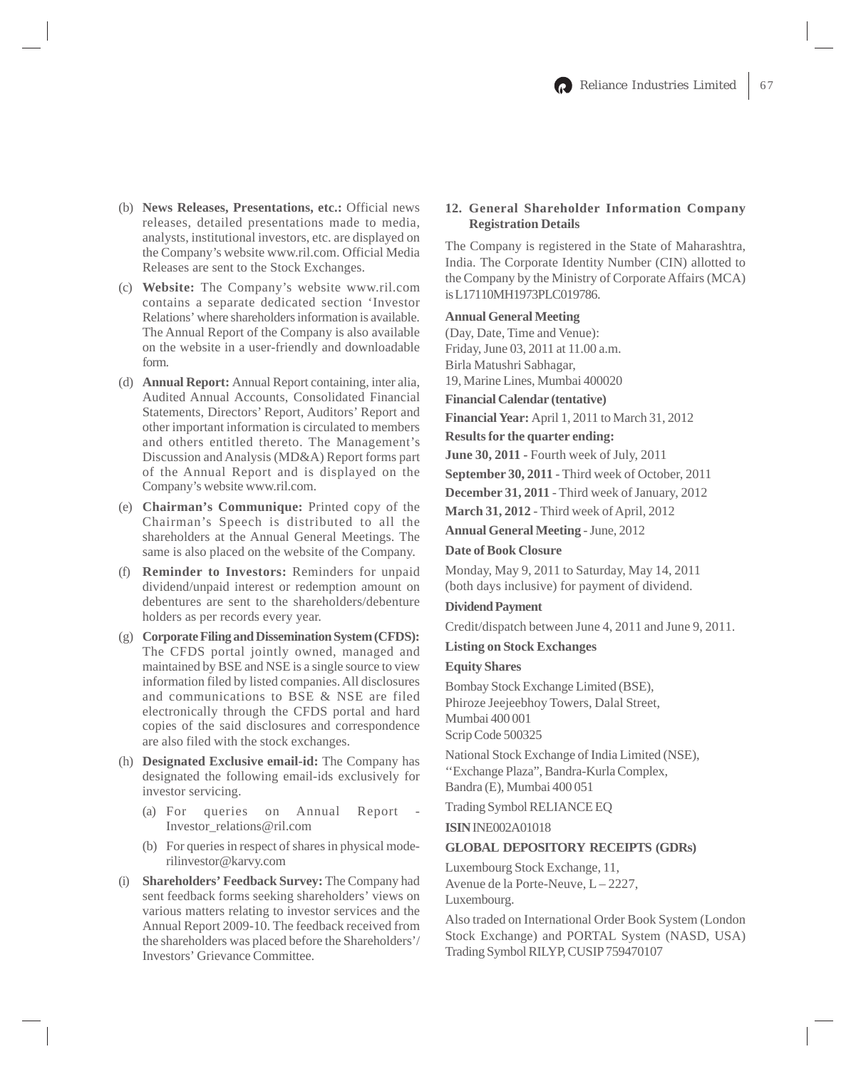- (b) **News Releases, Presentations, etc.:** Official news releases, detailed presentations made to media, analysts, institutional investors, etc. are displayed on the Company's website www.ril.com. Official Media Releases are sent to the Stock Exchanges.
- (c) **Website:** The Company's website www.ril.com contains a separate dedicated section 'Investor Relations' where shareholders information is available. The Annual Report of the Company is also available on the website in a user-friendly and downloadable form.
- (d) **Annual Report:** Annual Report containing, inter alia, Audited Annual Accounts, Consolidated Financial Statements, Directors' Report, Auditors' Report and other important information is circulated to members and others entitled thereto. The Management's Discussion and Analysis (MD&A) Report forms part of the Annual Report and is displayed on the Company's website www.ril.com.
- (e) **Chairman's Communique:** Printed copy of the Chairman's Speech is distributed to all the shareholders at the Annual General Meetings. The same is also placed on the website of the Company.
- (f) **Reminder to Investors:** Reminders for unpaid dividend/unpaid interest or redemption amount on debentures are sent to the shareholders/debenture holders as per records every year.
- (g) **Corporate Filing and Dissemination System (CFDS):** The CFDS portal jointly owned, managed and maintained by BSE and NSE is a single source to view information filed by listed companies. All disclosures and communications to BSE & NSE are filed electronically through the CFDS portal and hard copies of the said disclosures and correspondence are also filed with the stock exchanges.
- (h) **Designated Exclusive email-id:** The Company has designated the following email-ids exclusively for investor servicing.
	- (a) For queries on Annual Report Investor\_relations@ril.com
	- (b) For queries in respect of shares in physical moderilinvestor@karvy.com
- (i) **Shareholders' Feedback Survey:** The Company had sent feedback forms seeking shareholders' views on various matters relating to investor services and the Annual Report 2009-10. The feedback received from the shareholders was placed before the Shareholders'/ Investors' Grievance Committee.

# **12. General Shareholder Information Company Registration Details**

The Company is registered in the State of Maharashtra, India. The Corporate Identity Number (CIN) allotted to the Company by the Ministry of Corporate Affairs (MCA) is L17110MH1973PLC019786.

# **Annual General Meeting**

(Day, Date, Time and Venue): Friday, June 03, 2011 at 11.00 a.m. Birla Matushri Sabhagar,

19, Marine Lines, Mumbai 400020

# **Financial Calendar (tentative)**

**Financial Year:** April 1, 2011 to March 31, 2012

# **Results for the quarter ending:**

**June 30, 2011 -** Fourth week of July, 2011

**September 30, 2011** - Third week of October, 2011

**December 31, 2011** - Third week of January, 2012

**March 31, 2012** - Third week of April, 2012

**Annual General Meeting** - June, 2012

# **Date of Book Closure**

Monday, May 9, 2011 to Saturday, May 14, 2011 (both days inclusive) for payment of dividend.

# **Dividend Payment**

Credit/dispatch between June 4, 2011 and June 9, 2011.

**Listing on Stock Exchanges**

# **Equity Shares**

Bombay Stock Exchange Limited (BSE), Phiroze Jeejeebhoy Towers, Dalal Street, Mumbai 400 001 Scrip Code 500325

National Stock Exchange of India Limited (NSE), ''Exchange Plaza", Bandra-Kurla Complex, Bandra (E), Mumbai 400 051

Trading Symbol RELIANCE EQ

**ISIN** INE002A01018

# **GLOBAL DEPOSITORY RECEIPTS (GDRs)**

Luxembourg Stock Exchange, 11, Avenue de la Porte-Neuve, L-2227, Luxembourg.

Also traded on International Order Book System (London Stock Exchange) and PORTAL System (NASD, USA) Trading Symbol RILYP, CUSIP 759470107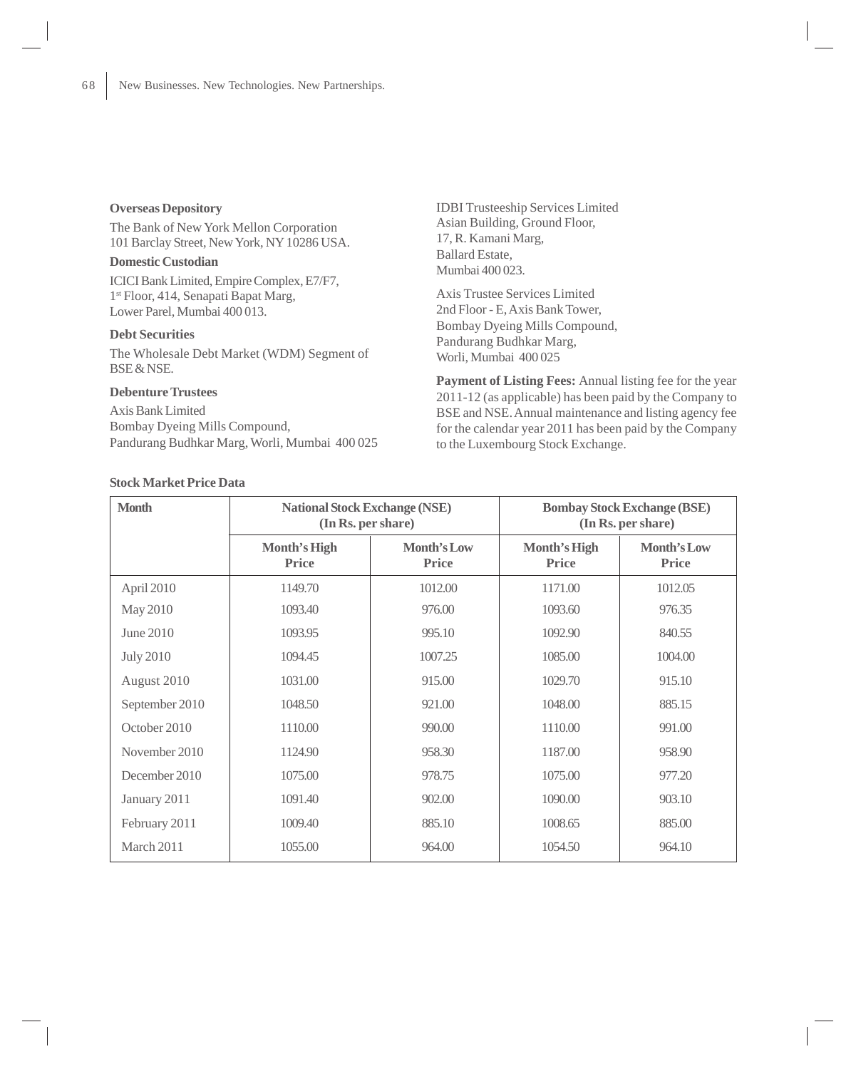### **Overseas Depository**

The Bank of New York Mellon Corporation 101 Barclay Street, New York, NY 10286 USA.

### **Domestic Custodian**

ICICI Bank Limited, Empire Complex, E7/F7, 1st Floor, 414, Senapati Bapat Marg, Lower Parel, Mumbai 400 013.

### **Debt Securities**

The Wholesale Debt Market (WDM) Segment of BSE & NSE.

# **Debenture Trustees**

Axis Bank Limited Bombay Dyeing Mills Compound, Pandurang Budhkar Marg, Worli, Mumbai 400 025

**Stock Market Price Data**

IDBI Trusteeship Services Limited Asian Building, Ground Floor, 17, R. Kamani Marg, Ballard Estate, Mumbai 400 023.

Axis Trustee Services Limited 2nd Floor - E, Axis Bank Tower, Bombay Dyeing Mills Compound, Pandurang Budhkar Marg, Worli, Mumbai 400 025

**Payment of Listing Fees:** Annual listing fee for the year 2011-12 (as applicable) has been paid by the Company to BSE and NSE. Annual maintenance and listing agency fee for the calendar year 2011 has been paid by the Company to the Luxembourg Stock Exchange.

| <b>Month</b>     | <b>National Stock Exchange (NSE)</b><br>(In Rs. per share) |                      |                       | <b>Bombay Stock Exchange (BSE)</b><br>(In Rs. per share) |
|------------------|------------------------------------------------------------|----------------------|-----------------------|----------------------------------------------------------|
|                  | Month's High<br><b>Price</b>                               | Month's Low<br>Price | Month's High<br>Price | Month's Low<br><b>Price</b>                              |
| April 2010       | 1149.70                                                    | 1012.00              | 1171.00               | 1012.05                                                  |
| May 2010         | 1093.40                                                    | 976.00               | 1093.60               | 976.35                                                   |
| June 2010        | 1093.95                                                    | 995.10               | 1092.90               | 840.55                                                   |
| <b>July 2010</b> | 1094.45                                                    | 1007.25              | 1085.00               | 1004.00                                                  |
| August 2010      | 1031.00                                                    | 915.00               | 1029.70               | 915.10                                                   |
| September 2010   | 1048.50                                                    | 921.00               | 1048.00               | 885.15                                                   |
| October 2010     | 1110.00                                                    | 990.00               | 1110.00               | 991.00                                                   |
| November 2010    | 1124.90                                                    | 958.30               | 1187.00               | 958.90                                                   |
| December 2010    | 1075.00                                                    | 978.75               | 1075.00               | 977.20                                                   |
| January 2011     | 1091.40                                                    | 902.00               | 1090.00               | 903.10                                                   |
| February 2011    | 1009.40                                                    | 885.10               | 1008.65               | 885.00                                                   |
| March 2011       | 1055.00                                                    | 964.00               | 1054.50               | 964.10                                                   |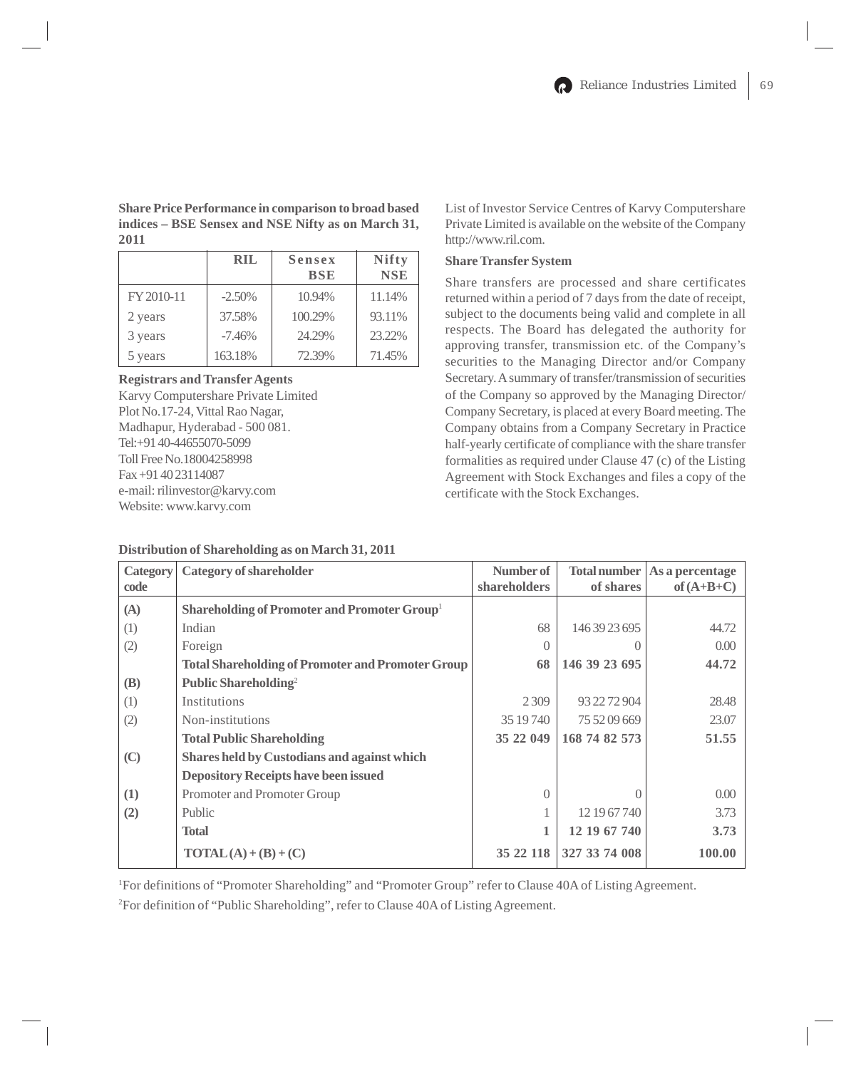# **Share Price Performance in comparison to broad based indices – BSE Sensex and NSE Nifty as on March 31, 2011**

|            | RIL      | Sensex<br><b>BSE</b> | <b>Nifty</b><br><b>NSE</b> |
|------------|----------|----------------------|----------------------------|
| FY 2010-11 | $-2.50%$ | 10.94%               | 11.14%                     |
| 2 years    | 37.58%   | 100.29%              | 93.11%                     |
| 3 years    | $-7.46%$ | 24.29%               | 23.22%                     |
| 5 years    | 163.18%  | 72.39%               | 71.45%                     |

# **Registrars and Transfer Agents**

Karvy Computershare Private Limited Plot No.17-24, Vittal Rao Nagar, Madhapur, Hyderabad - 500 081. Tel:+91 40-44655070-5099 Toll Free No.18004258998 Fax +91 40 23114087 e-mail: rilinvestor@karvy.com Website: www.karvy.com

# **Distribution of Shareholding as on March 31, 2011**

List of Investor Service Centres of Karvy Computershare Private Limited is available on the website of the Company http://www.ril.com.

# **Share Transfer System**

Share transfers are processed and share certificates returned within a period of 7 days from the date of receipt, subject to the documents being valid and complete in all respects. The Board has delegated the authority for approving transfer, transmission etc. of the Company's securities to the Managing Director and/or Company Secretary. A summary of transfer/transmission of securities of the Company so approved by the Managing Director/ Company Secretary, is placed at every Board meeting. The Company obtains from a Company Secretary in Practice half-yearly certificate of compliance with the share transfer formalities as required under Clause 47 (c) of the Listing Agreement with Stock Exchanges and files a copy of the certificate with the Stock Exchanges.

| Category   | <b>Category of shareholder</b>                           | Number of    | Total number  | As a percentage |
|------------|----------------------------------------------------------|--------------|---------------|-----------------|
| code       |                                                          | shareholders | of shares     | of $(A+B+C)$    |
| (A)        | Shareholding of Promoter and Promoter Group <sup>1</sup> |              |               |                 |
| (1)        | Indian                                                   | 68           | 146 39 23 695 | 44.72           |
| (2)        | Foreign                                                  | $\bigcap$    |               | 0.00            |
|            | <b>Total Shareholding of Promoter and Promoter Group</b> | 68           | 146 39 23 695 | 44.72           |
| <b>(B)</b> | Public Shareholding <sup>2</sup>                         |              |               |                 |
| (1)        | Institutions                                             | 2309         | 93 22 72 904  | 28.48           |
| (2)        | Non-institutions                                         | 35 19 740    | 75 52 09 669  | 23.07           |
|            | <b>Total Public Shareholding</b>                         | 35 22 049    | 168 74 82 573 | 51.55           |
| (C)        | <b>Shares held by Custodians and against which</b>       |              |               |                 |
|            | <b>Depository Receipts have been issued</b>              |              |               |                 |
| (1)        | Promoter and Promoter Group                              | $\Omega$     | 0             | 0.00            |
| (2)        | Public                                                   |              | 12 19 67 740  | 3.73            |
|            | <b>Total</b>                                             |              | 12 19 67 740  | 3.73            |
|            | $\text{TOTAL}(A) + (B) + (C)$                            | 35 22 118    | 327 33 74 008 | 100.00          |

1 For definitions of "Promoter Shareholding" and "Promoter Group" refer to Clause 40A of Listing Agreement.

2 For definition of "Public Shareholding", refer to Clause 40A of Listing Agreement.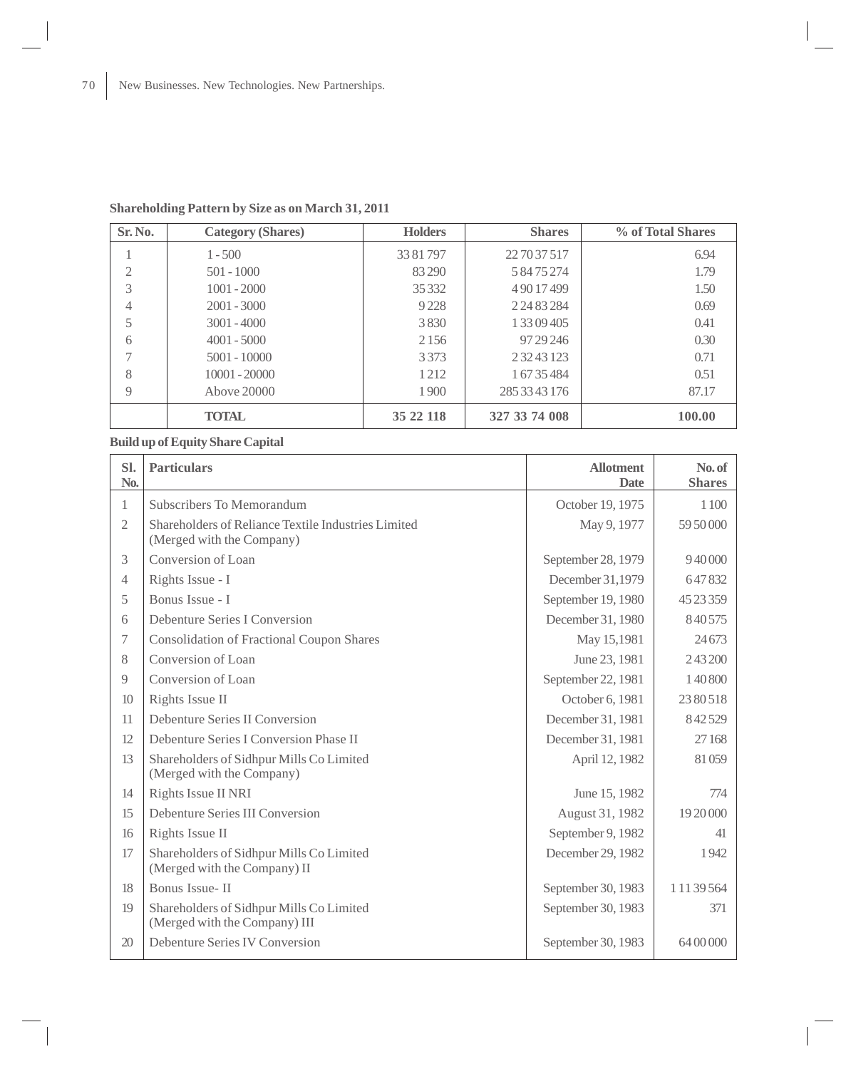| Sr. No.        | <b>Category (Shares)</b> | <b>Holders</b> | <b>Shares</b> | % of Total Shares |
|----------------|--------------------------|----------------|---------------|-------------------|
|                | $1 - 500$                | 3381797        | 22 70 37 517  | 6.94              |
| $\overline{2}$ | $501 - 1000$             | 83 290         | 58475274      | 1.79              |
| 3              | $1001 - 2000$            | 35332          | 49017499      | 1.50              |
| 4              | $2001 - 3000$            | 9228           | 2 24 83 284   | 0.69              |
| 5              | $3001 - 4000$            | 3830           | 1 33 09 4 05  | 0.41              |
| 6              | $4001 - 5000$            | 2 1 5 6        | 97 29 24 6    | 0.30              |
|                | $5001 - 10000$           | 3373           | 23243123      | 0.71              |
| 8              | $10001 - 20000$          | 1212           | 1 67 35 484   | 0.51              |
| 9              | Above 20000              | 1900           | 285 33 43 176 | 87.17             |
|                | <b>TOTAL</b>             | 35 22 118      | 327 33 74 008 | 100.00            |

# **Shareholding Pattern by Size as on March 31, 2011**

# **Build up of Equity Share Capital**

| SI.<br>No.     | <b>Particulars</b>                                                               | <b>Allotment</b><br><b>Date</b> | No. of<br><b>Shares</b> |
|----------------|----------------------------------------------------------------------------------|---------------------------------|-------------------------|
| 1              | Subscribers To Memorandum                                                        | October 19, 1975                | 1100                    |
| $\mathfrak{2}$ | Shareholders of Reliance Textile Industries Limited<br>(Merged with the Company) | May 9, 1977                     | 59 50 000               |
| 3              | Conversion of Loan                                                               | September 28, 1979              | 940000                  |
| $\overline{4}$ | Rights Issue - I                                                                 | December 31,1979                | 647832                  |
| 5              | Bonus Issue - I                                                                  | September 19, 1980              | 45 23 359               |
| 6              | Debenture Series I Conversion                                                    | December 31, 1980               | 840575                  |
| 7              | <b>Consolidation of Fractional Coupon Shares</b>                                 | May 15,1981                     | 24673                   |
| 8              | Conversion of Loan                                                               | June 23, 1981                   | 243200                  |
| 9              | Conversion of Loan                                                               | September 22, 1981              | 140800                  |
| 10             | Rights Issue II                                                                  | October 6, 1981                 | 2380518                 |
| 11             | Debenture Series II Conversion                                                   | December 31, 1981               | 842529                  |
| 12             | Debenture Series I Conversion Phase II                                           | December 31, 1981               | 27168                   |
| 13             | Shareholders of Sidhpur Mills Co Limited<br>(Merged with the Company)            | April 12, 1982                  | 81059                   |
| 14             | Rights Issue II NRI                                                              | June 15, 1982                   | 774                     |
| 15             | Debenture Series III Conversion                                                  | August 31, 1982                 | 19 20 000               |
| 16             | Rights Issue II                                                                  | September 9, 1982               | 41                      |
| 17             | Shareholders of Sidhpur Mills Co Limited<br>(Merged with the Company) II         | December 29, 1982               | 1942                    |
| 18             | Bonus Issue-II                                                                   | September 30, 1983              | 1 11 39 564             |
| 19             | Shareholders of Sidhpur Mills Co Limited<br>(Merged with the Company) III        | September 30, 1983              | 371                     |
| 20             | Debenture Series IV Conversion                                                   | September 30, 1983              | 64 00 000               |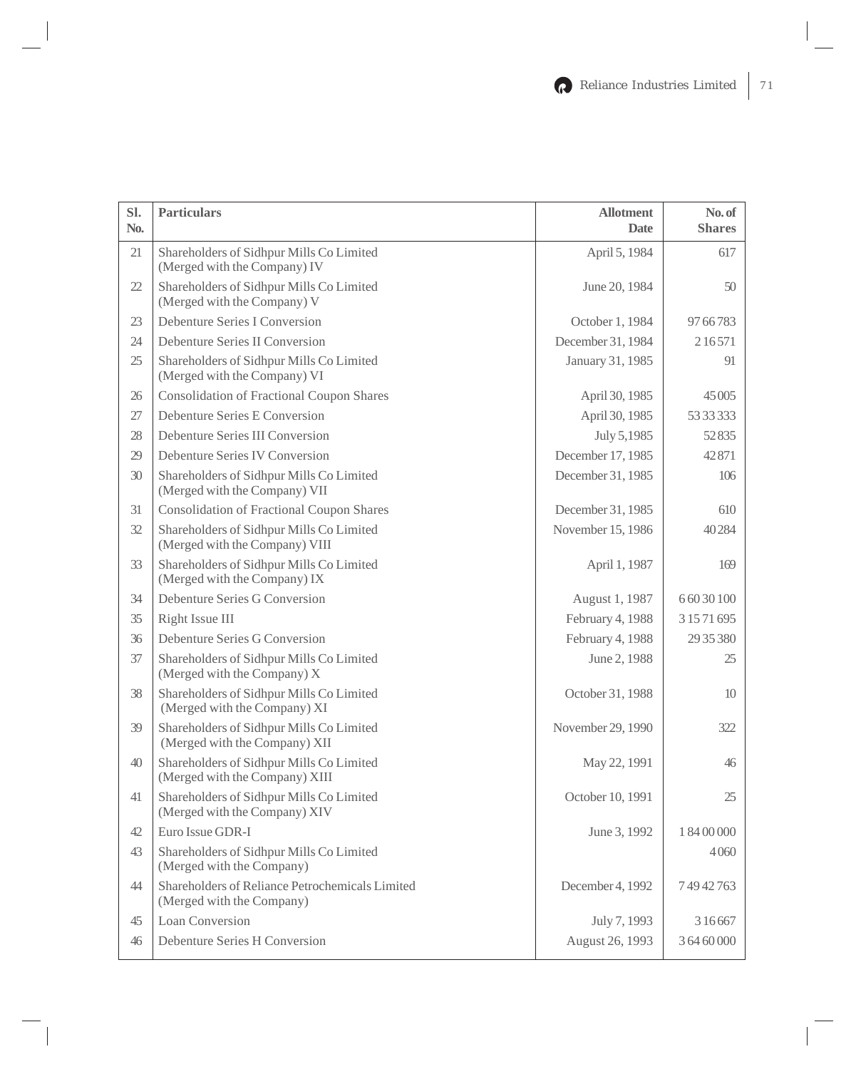| Sl.<br>No. | <b>Particulars</b>                                                           | <b>Allotment</b><br><b>Date</b> | No. of<br><b>Shares</b> |
|------------|------------------------------------------------------------------------------|---------------------------------|-------------------------|
| 21         | Shareholders of Sidhpur Mills Co Limited<br>(Merged with the Company) IV     | April 5, 1984                   | 617                     |
| 22         | Shareholders of Sidhpur Mills Co Limited<br>(Merged with the Company) V      | June 20, 1984                   | 50                      |
| 23         | Debenture Series I Conversion                                                | October 1, 1984                 | 97 66 783               |
| 24         | Debenture Series II Conversion                                               | December 31, 1984               | 216571                  |
| 25         | Shareholders of Sidhpur Mills Co Limited<br>(Merged with the Company) VI     | January 31, 1985                | 91                      |
| 26         | <b>Consolidation of Fractional Coupon Shares</b>                             | April 30, 1985                  | 45 005                  |
| 27         | Debenture Series E Conversion                                                | April 30, 1985                  | 53 33 333               |
| 28         | Debenture Series III Conversion                                              | July 5,1985                     | 52835                   |
| 29         | Debenture Series IV Conversion                                               | December 17, 1985               | 42871                   |
| 30         | Shareholders of Sidhpur Mills Co Limited<br>(Merged with the Company) VII    | December 31, 1985               | 106                     |
| 31         | <b>Consolidation of Fractional Coupon Shares</b>                             | December 31, 1985               | 610                     |
| 32         | Shareholders of Sidhpur Mills Co Limited<br>(Merged with the Company) VIII   | November 15, 1986               | 40284                   |
| 33         | Shareholders of Sidhpur Mills Co Limited<br>(Merged with the Company) IX     | April 1, 1987                   | 169                     |
| 34         | Debenture Series G Conversion                                                | August 1, 1987                  | 6 60 30 100             |
| 35         | Right Issue III                                                              | February 4, 1988                | 3 15 71 695             |
| 36         | Debenture Series G Conversion                                                | February 4, 1988                | 29 35 380               |
| 37         | Shareholders of Sidhpur Mills Co Limited<br>(Merged with the Company) X      | June 2, 1988                    | 25                      |
| 38         | Shareholders of Sidhpur Mills Co Limited<br>(Merged with the Company) XI     | October 31, 1988                | 10                      |
| 39         | Shareholders of Sidhpur Mills Co Limited<br>(Merged with the Company) XII    | November 29, 1990               | 322                     |
| 40         | Shareholders of Sidhpur Mills Co Limited<br>(Merged with the Company) XIII   | May 22, 1991                    | 46                      |
| 41         | Shareholders of Sidhpur Mills Co Limited<br>(Merged with the Company) XIV    | October 10, 1991                | 25                      |
| 42         | Euro Issue GDR-I                                                             | June 3, 1992                    | 1 84 00 000             |
| 43         | Shareholders of Sidhpur Mills Co Limited<br>(Merged with the Company)        |                                 | 4060                    |
| 44         | Shareholders of Reliance Petrochemicals Limited<br>(Merged with the Company) | December 4, 1992                | 74942763                |
| 45         | Loan Conversion                                                              | July 7, 1993                    | 3 1 6 6 6 7             |
| 46         | Debenture Series H Conversion                                                | August 26, 1993                 | 3 64 60 000             |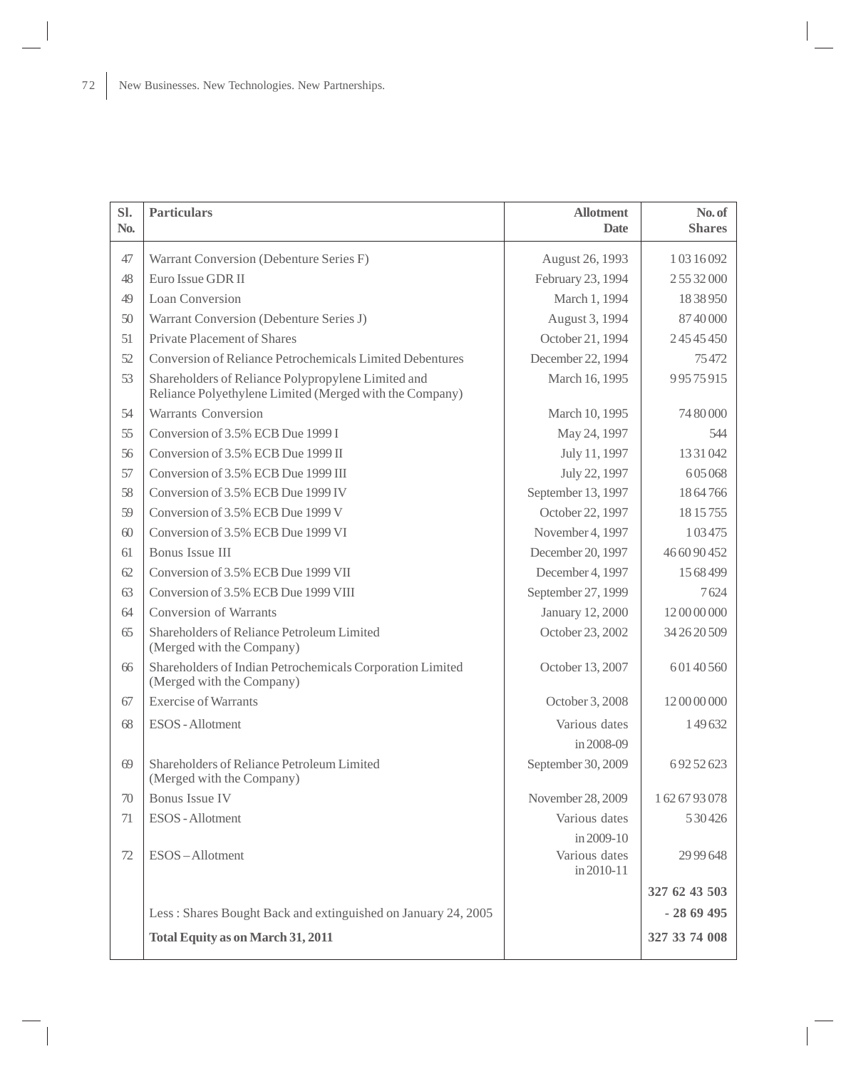| Sl.<br>No. | <b>Particulars</b>                                                                                            | <b>Allotment</b><br><b>Date</b> | No. of<br><b>Shares</b> |
|------------|---------------------------------------------------------------------------------------------------------------|---------------------------------|-------------------------|
| 47         | Warrant Conversion (Debenture Series F)                                                                       | August 26, 1993                 | 1 03 16 092             |
| 48         | Euro Issue GDR II                                                                                             | February 23, 1994               | 25532000                |
| 49         | Loan Conversion                                                                                               | March 1, 1994                   | 1838950                 |
| 50         | Warrant Conversion (Debenture Series J)                                                                       | August 3, 1994                  | 8740000                 |
| 51         | Private Placement of Shares                                                                                   | October 21, 1994                | 24545450                |
| 52         | Conversion of Reliance Petrochemicals Limited Debentures                                                      | December 22, 1994               | 75472                   |
| 53         | Shareholders of Reliance Polypropylene Limited and<br>Reliance Polyethylene Limited (Merged with the Company) | March 16, 1995                  | 99575915                |
| 54         | <b>Warrants Conversion</b>                                                                                    | March 10, 1995                  | 74 80 000               |
| 55         | Conversion of 3.5% ECB Due 1999 I                                                                             | May 24, 1997                    | 544                     |
| 56         | Conversion of 3.5% ECB Due 1999 II                                                                            | July 11, 1997                   | 13 31 042               |
| 57         | Conversion of 3.5% ECB Due 1999 III                                                                           | July 22, 1997                   | 605068                  |
| 58         | Conversion of 3.5% ECB Due 1999 IV                                                                            | September 13, 1997              | 1864766                 |
| 59         | Conversion of 3.5% ECB Due 1999 V                                                                             | October 22, 1997                | 18 15 755               |
| 60         | Conversion of 3.5% ECB Due 1999 VI                                                                            | November 4, 1997                | 1 0 3 4 7 5             |
| 61         | Bonus Issue III                                                                                               | December 20, 1997               | 46 60 90 452            |
| 62         | Conversion of 3.5% ECB Due 1999 VII                                                                           | December 4, 1997                | 15 68 499               |
| 63         | Conversion of 3.5% ECB Due 1999 VIII                                                                          | September 27, 1999              | 7624                    |
| 64         | <b>Conversion of Warrants</b>                                                                                 | January 12, 2000                | 12 00 00 000            |
| 65         | Shareholders of Reliance Petroleum Limited<br>(Merged with the Company)                                       | October 23, 2002                | 34 26 20 509            |
| 66         | Shareholders of Indian Petrochemicals Corporation Limited<br>(Merged with the Company)                        | October 13, 2007                | 60140560                |
| 67         | <b>Exercise of Warrants</b>                                                                                   | October 3, 2008                 | 12 00 00 000            |
| 68         | <b>ESOS</b> - Allotment                                                                                       | Various dates                   | 149632                  |
|            |                                                                                                               | in 2008-09                      |                         |
| 69         | Shareholders of Reliance Petroleum Limited<br>(Merged with the Company)                                       | September 30, 2009              | 69252623                |
| 70         | <b>Bonus Issue IV</b>                                                                                         | November 28, 2009               | 1626793078              |
| 71         | ESOS - Allotment                                                                                              | Various dates                   | 530426                  |
|            |                                                                                                               | in 2009-10                      |                         |
| 72         | ESOS-Allotment                                                                                                | Various dates<br>in 2010-11     | 29 99 648               |
|            |                                                                                                               |                                 | 327 62 43 503           |
|            | Less: Shares Bought Back and extinguished on January 24, 2005                                                 |                                 | $-2869495$              |
|            | <b>Total Equity as on March 31, 2011</b>                                                                      |                                 | 327 33 74 008           |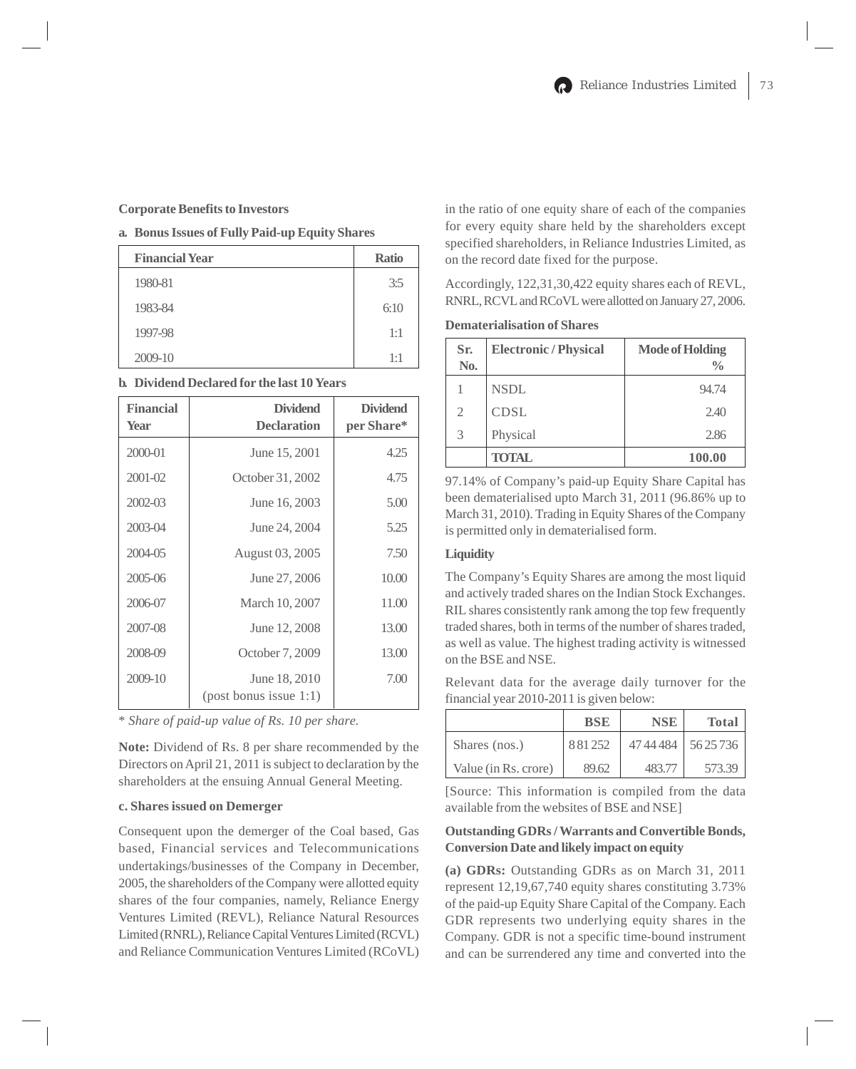#### **Corporate Benefits to Investors**

### **a. Bonus Issues of Fully Paid-up Equity Shares**

| <b>Financial Year</b> | <b>Ratio</b> |
|-----------------------|--------------|
| 1980-81               | 3:5          |
| 1983-84               | 6:10         |
| 1997-98               | 1:1          |
| 2009-10               | 1:1          |

# **b. Dividend Declared for the last 10 Years**

| <b>Financial</b><br><b>Year</b> | <b>Dividend</b><br><b>Declaration</b>        | <b>Dividend</b><br>per Share* |
|---------------------------------|----------------------------------------------|-------------------------------|
| 2000-01                         | June 15, 2001                                | 4.25                          |
| $2001 - 02$                     | October 31, 2002                             | 4.75                          |
| 2002-03                         | June 16, 2003                                | 5.00                          |
| 2003-04                         | June 24, 2004                                | 5.25                          |
| 2004-05                         | August 03, 2005                              | 7.50                          |
| 2005-06                         | June 27, 2006                                | 10.00                         |
| 2006-07                         | March 10, 2007                               | 11.00                         |
| 2007-08                         | June 12, 2008                                | 13.00                         |
| 2008-09                         | October 7, 2009                              | 13.00                         |
| 2009-10                         | June 18, 2010<br>$(post)$ bonus issue $1:1)$ | 7.00                          |

\* *Share of paid-up value of Rs. 10 per share.*

**Note:** Dividend of Rs. 8 per share recommended by the Directors on April 21, 2011 is subject to declaration by the shareholders at the ensuing Annual General Meeting.

# **c. Shares issued on Demerger**

Consequent upon the demerger of the Coal based, Gas based, Financial services and Telecommunications undertakings/businesses of the Company in December, 2005, the shareholders of the Company were allotted equity shares of the four companies, namely, Reliance Energy Ventures Limited (REVL), Reliance Natural Resources Limited (RNRL), Reliance Capital Ventures Limited (RCVL) and Reliance Communication Ventures Limited (RCoVL)

in the ratio of one equity share of each of the companies for every equity share held by the shareholders except specified shareholders, in Reliance Industries Limited, as on the record date fixed for the purpose.

Accordingly, 122,31,30,422 equity shares each of REVL, RNRL, RCVL and RCoVL were allotted on January 27, 2006.

### **Dematerialisation of Shares**

| Sr.<br>N <sub>0</sub> . | <b>Electronic / Physical</b> | <b>Mode of Holding</b><br>$\frac{0}{0}$ |
|-------------------------|------------------------------|-----------------------------------------|
|                         | <b>NSDL</b>                  | 94.74                                   |
| $\mathfrak{D}$          | <b>CDSL</b>                  | 2.40                                    |
| 3                       | Physical                     | 2.86                                    |
|                         | <b>TOTAL</b>                 | 100.00                                  |

97.14% of Company's paid-up Equity Share Capital has been dematerialised upto March 31, 2011 (96.86% up to March 31, 2010). Trading in Equity Shares of the Company is permitted only in dematerialised form.

# **Liquidity**

The Company's Equity Shares are among the most liquid and actively traded shares on the Indian Stock Exchanges. RIL shares consistently rank among the top few frequently traded shares, both in terms of the number of shares traded, as well as value. The highest trading activity is witnessed on the BSE and NSE.

Relevant data for the average daily turnover for the financial year 2010-2011 is given below:

|                      | <b>BSE</b> | <b>NSE</b> | <b>Total</b>          |
|----------------------|------------|------------|-----------------------|
| Shares (nos.)        | 881252     |            | 47 44 484   56 25 736 |
| Value (in Rs. crore) | 89.62      | 483 77     | 573.39                |

[Source: This information is compiled from the data available from the websites of BSE and NSE]

# **Outstanding GDRs / Warrants and Convertible Bonds, Conversion Date and likely impact on equity**

**(a) GDRs:** Outstanding GDRs as on March 31, 2011 represent 12,19,67,740 equity shares constituting 3.73% of the paid-up Equity Share Capital of the Company. Each GDR represents two underlying equity shares in the Company. GDR is not a specific time-bound instrument and can be surrendered any time and converted into the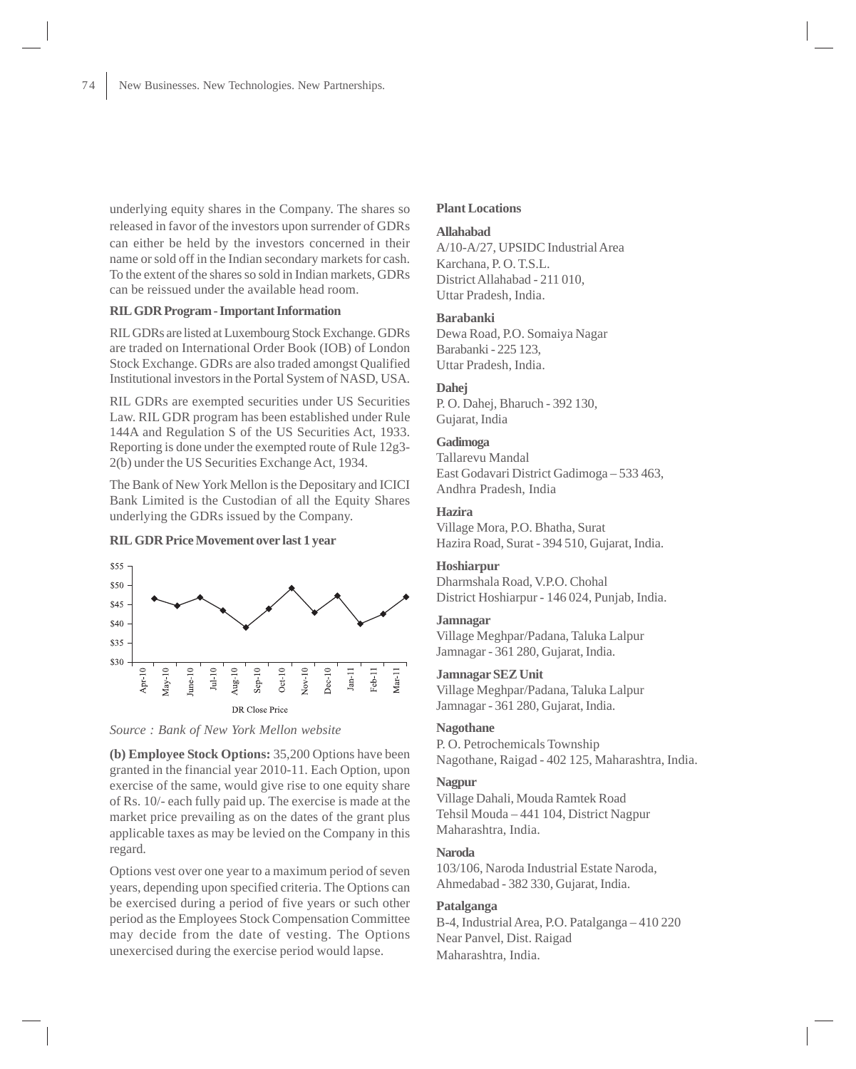underlying equity shares in the Company. The shares so released in favor of the investors upon surrender of GDRs can either be held by the investors concerned in their name or sold off in the Indian secondary markets for cash. To the extent of the shares so sold in Indian markets, GDRs can be reissued under the available head room.

# **RIL GDR Program - Important Information**

RIL GDRs are listed at Luxembourg Stock Exchange. GDRs are traded on International Order Book (IOB) of London Stock Exchange. GDRs are also traded amongst Qualified Institutional investors in the Portal System of NASD, USA.

RIL GDRs are exempted securities under US Securities Law. RIL GDR program has been established under Rule 144A and Regulation S of the US Securities Act, 1933. Reporting is done under the exempted route of Rule 12g3- 2(b) under the US Securities Exchange Act, 1934.

The Bank of New York Mellon is the Depositary and ICICI Bank Limited is the Custodian of all the Equity Shares underlying the GDRs issued by the Company.

### **RIL GDR Price Movement over last 1 year**





**(b) Employee Stock Options:** 35,200 Options have been granted in the financial year 2010-11. Each Option, upon exercise of the same, would give rise to one equity share of Rs. 10/- each fully paid up. The exercise is made at the market price prevailing as on the dates of the grant plus applicable taxes as may be levied on the Company in this regard.

Options vest over one year to a maximum period of seven years, depending upon specified criteria. The Options can be exercised during a period of five years or such other period as the Employees Stock Compensation Committee may decide from the date of vesting. The Options unexercised during the exercise period would lapse.

#### **Plant Locations**

#### **Allahabad**

A/10-A/27, UPSIDC Industrial Area Karchana, P. O. T.S.L. District Allahabad - 211 010, Uttar Pradesh, India.

#### **Barabanki**

Dewa Road, P.O. Somaiya Nagar Barabanki - 225 123, Uttar Pradesh, India.

#### **Dahej**

P. O. Dahej, Bharuch - 392 130, Gujarat, India

#### **Gadimoga**

Tallarevu Mandal East Godavari District Gadimoga – 533 463, Andhra Pradesh, India

# **Hazira**

Village Mora, P.O. Bhatha, Surat Hazira Road, Surat - 394 510, Gujarat, India.

#### **Hoshiarpur**

Dharmshala Road, V.P.O. Chohal District Hoshiarpur - 146 024, Punjab, India.

#### **Jamnagar**

Village Meghpar/Padana, Taluka Lalpur Jamnagar - 361 280, Gujarat, India.

### **Jamnagar SEZ Unit**

Village Meghpar/Padana, Taluka Lalpur Jamnagar - 361 280, Gujarat, India.

#### **Nagothane**

P. O. Petrochemicals Township Nagothane, Raigad - 402 125, Maharashtra, India.

#### **Nagpur**

Village Dahali, Mouda Ramtek Road Tehsil Mouda – 441 104, District Nagpur Maharashtra, India.

### **Naroda**

103/106, Naroda Industrial Estate Naroda, Ahmedabad - 382 330, Gujarat, India.

# **Patalganga**

B-4, Industrial Area, P.O. Patalganga – 410 220 Near Panvel, Dist. Raigad Maharashtra, India.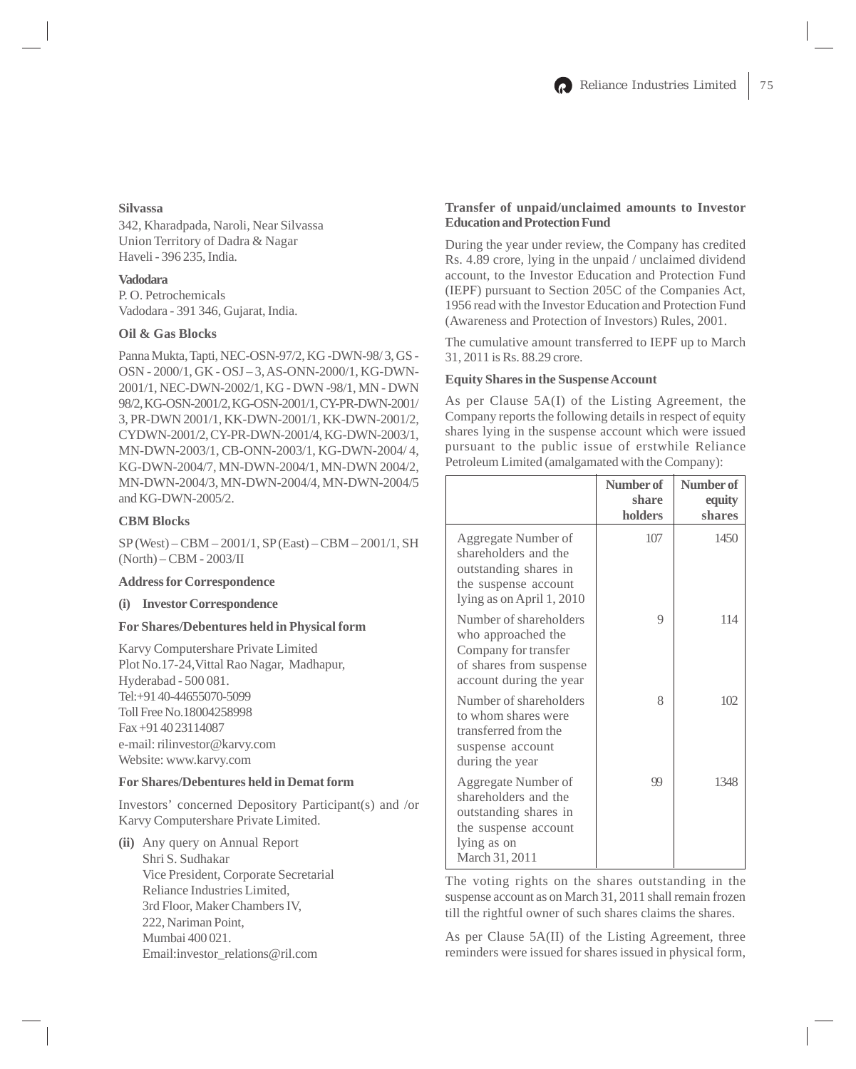# **Silvassa**

342, Kharadpada, Naroli, Near Silvassa Union Territory of Dadra & Nagar Haveli - 396 235, India.

### **Vadodara**

P. O. Petrochemicals Vadodara - 391 346, Gujarat, India.

# **Oil & Gas Blocks**

Panna Mukta, Tapti, NEC-OSN-97/2, KG -DWN-98/ 3, GS - OSN - 2000/1, GK - OSJ – 3, AS-ONN-2000/1, KG-DWN-2001/1, NEC-DWN-2002/1, KG - DWN -98/1, MN - DWN 98/2, KG-OSN-2001/2, KG-OSN-2001/1, CY-PR-DWN-2001/ 3, PR-DWN 2001/1, KK-DWN-2001/1, KK-DWN-2001/2, CYDWN-2001/2, CY-PR-DWN-2001/4, KG-DWN-2003/1, MN-DWN-2003/1, CB-ONN-2003/1, KG-DWN-2004/ 4, KG-DWN-2004/7, MN-DWN-2004/1, MN-DWN 2004/2, MN-DWN-2004/3, MN-DWN-2004/4, MN-DWN-2004/5 and KG-DWN-2005/2.

### **CBM Blocks**

SP (West) – CBM – 2001/1, SP (East) – CBM – 2001/1, SH (North) – CBM - 2003/II

#### **Address for Correspondence**

#### **(i) Investor Correspondence**

#### **For Shares/Debentures held in Physical form**

Karvy Computershare Private Limited Plot No.17-24,Vittal Rao Nagar, Madhapur, Hyderabad - 500 081. Tel:+91 40-44655070-5099 Toll Free No.18004258998 Fax +91 40 23114087 e-mail: rilinvestor@karvy.com Website: www.karvy.com

# **For Shares/Debentures held in Demat form**

Investors' concerned Depository Participant(s) and /or Karvy Computershare Private Limited.

**(ii)** Any query on Annual Report Shri S. Sudhakar Vice President, Corporate Secretarial Reliance Industries Limited, 3rd Floor, Maker Chambers IV, 222, Nariman Point, Mumbai 400 021. Email:investor\_relations@ril.com

# **Transfer of unpaid/unclaimed amounts to Investor Education and Protection Fund**

During the year under review, the Company has credited Rs. 4.89 crore, lying in the unpaid / unclaimed dividend account, to the Investor Education and Protection Fund (IEPF) pursuant to Section 205C of the Companies Act, 1956 read with the Investor Education and Protection Fund (Awareness and Protection of Investors) Rules, 2001.

The cumulative amount transferred to IEPF up to March 31, 2011 is Rs. 88.29 crore.

### **Equity Shares in the Suspense Account**

As per Clause 5A(I) of the Listing Agreement, the Company reports the following details in respect of equity shares lying in the suspense account which were issued pursuant to the public issue of erstwhile Reliance Petroleum Limited (amalgamated with the Company):

|                                                                                                                               | Number of<br>share<br>holders | Number of<br>equity<br>shares |
|-------------------------------------------------------------------------------------------------------------------------------|-------------------------------|-------------------------------|
| Aggregate Number of<br>shareholders and the<br>outstanding shares in<br>the suspense account<br>lying as on April 1, 2010     | 107                           | 1450                          |
| Number of shareholders<br>who approached the<br>Company for transfer<br>of shares from suspense<br>account during the year    | 9                             | 114                           |
| Number of shareholders<br>to whom shares were<br>transferred from the<br>suspense account<br>during the year                  | 8                             | 102                           |
| Aggregate Number of<br>shareholders and the<br>outstanding shares in<br>the suspense account<br>lying as on<br>March 31, 2011 | 99                            | 1348                          |

The voting rights on the shares outstanding in the suspense account as on March 31, 2011 shall remain frozen till the rightful owner of such shares claims the shares.

As per Clause 5A(II) of the Listing Agreement, three reminders were issued for shares issued in physical form,